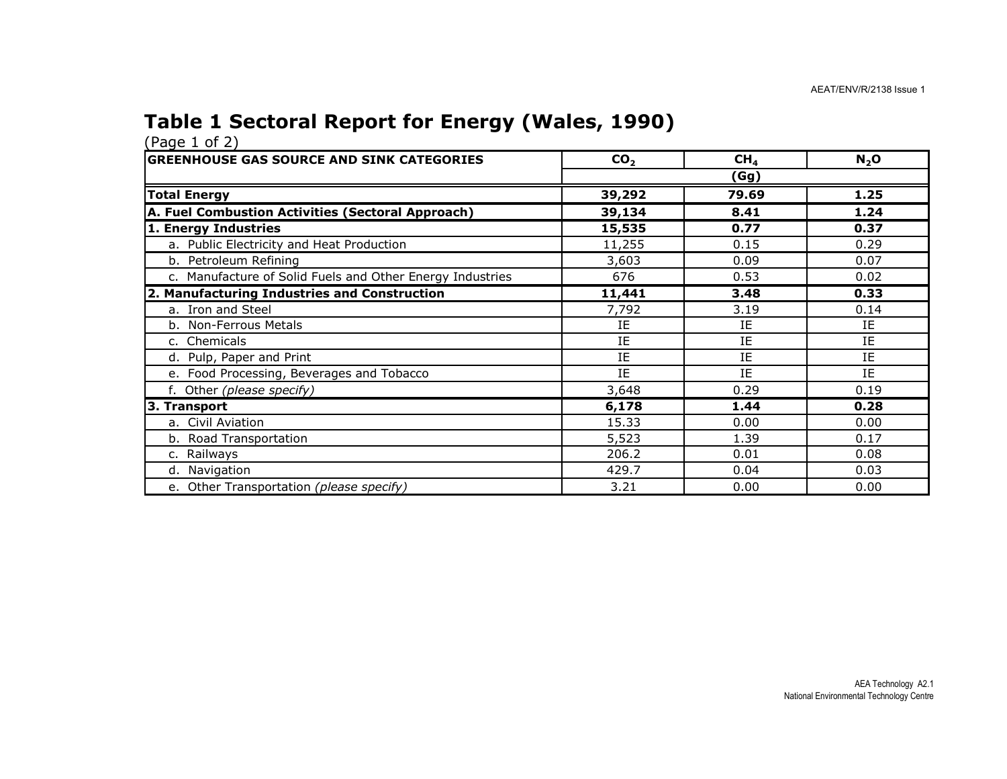### Table 1 Sectoral Report for Energy (Wales, 1990)

| $(1 - 3 - 1)$<br><b>GREENHOUSE GAS SOURCE AND SINK CATEGORIES</b> | CO <sub>2</sub> | CH <sub>4</sub> | $N_2$ O |
|-------------------------------------------------------------------|-----------------|-----------------|---------|
|                                                                   |                 | (Gg)            |         |
| <b>Total Energy</b>                                               | 39,292          | 79.69           | 1.25    |
| A. Fuel Combustion Activities (Sectoral Approach)                 | 39,134          | 8.41            | 1.24    |
| 1. Energy Industries                                              | 15,535          | 0.77            | 0.37    |
| a. Public Electricity and Heat Production                         | 11,255          | 0.15            | 0.29    |
| b. Petroleum Refining                                             | 3,603           | 0.09            | 0.07    |
| c. Manufacture of Solid Fuels and Other Energy Industries         | 676             | 0.53            | 0.02    |
| 2. Manufacturing Industries and Construction                      | 11,441          | 3.48            | 0.33    |
| a. Iron and Steel                                                 | 7,792           | 3.19            | 0.14    |
| b. Non-Ferrous Metals                                             | IE              | ΙE              | IE      |
| c. Chemicals                                                      | IE              | IE              | IE      |
| d. Pulp, Paper and Print                                          | IE              | IE              | IE      |
| e. Food Processing, Beverages and Tobacco                         | IE              | IE              | IE      |
| f. Other (please specify)                                         | 3,648           | 0.29            | 0.19    |
| 3. Transport                                                      | 6,178           | 1.44            | 0.28    |
| a. Civil Aviation                                                 | 15.33           | 0.00            | 0.00    |
| b. Road Transportation                                            | 5,523           | 1.39            | 0.17    |
| c. Railways                                                       | 206.2           | 0.01            | 0.08    |
| d. Navigation                                                     | 429.7           | 0.04            | 0.03    |
| e. Other Transportation (please specify)                          | 3.21            | 0.00            | 0.00    |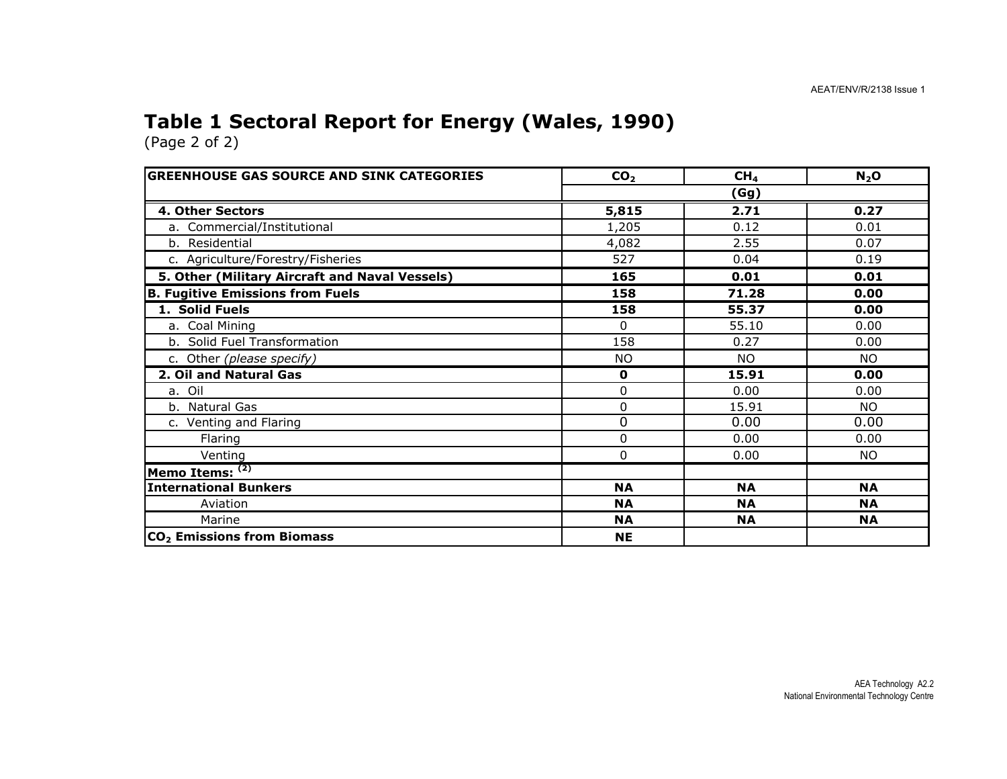### Table 1 Sectoral Report for Energy (Wales, 1990)

| <b>GREENHOUSE GAS SOURCE AND SINK CATEGORIES</b> | CO <sub>2</sub> | CH <sub>4</sub> | $N_2$ O   |  |  |  |
|--------------------------------------------------|-----------------|-----------------|-----------|--|--|--|
|                                                  | (Gg)            |                 |           |  |  |  |
| 4. Other Sectors                                 | 5,815           | 2.71            | 0.27      |  |  |  |
| a. Commercial/Institutional                      | 1,205           | 0.12            | 0.01      |  |  |  |
| b. Residential                                   | 4,082           | 2.55            | 0.07      |  |  |  |
| c. Agriculture/Forestry/Fisheries                | 527             | 0.04            | 0.19      |  |  |  |
| 5. Other (Military Aircraft and Naval Vessels)   | 165             | 0.01            | 0.01      |  |  |  |
| <b>B. Fugitive Emissions from Fuels</b>          | 158             | 71.28           | 0.00      |  |  |  |
| 1. Solid Fuels                                   | 158             | 55.37           | 0.00      |  |  |  |
| a. Coal Mining                                   | 0               | 55.10           | 0.00      |  |  |  |
| b. Solid Fuel Transformation                     | 158             | 0.27            | 0.00      |  |  |  |
| c. Other (please specify)                        | <b>NO</b>       | <b>NO</b>       | NO.       |  |  |  |
| 2. Oil and Natural Gas                           | $\mathbf 0$     | 15.91           | 0.00      |  |  |  |
| a. Oil                                           | 0               | 0.00            | 0.00      |  |  |  |
| b. Natural Gas                                   | 0               | 15.91           | NO.       |  |  |  |
| c. Venting and Flaring                           | 0               | 0.00            | 0.00      |  |  |  |
| Flaring                                          | 0               | 0.00            | 0.00      |  |  |  |
| Venting                                          | $\Omega$        | 0.00            | NO.       |  |  |  |
| Memo Items: (2)                                  |                 |                 |           |  |  |  |
| <b>International Bunkers</b>                     | <b>NA</b>       | <b>NA</b>       | <b>NA</b> |  |  |  |
| Aviation                                         | <b>NA</b>       | <b>NA</b>       | <b>NA</b> |  |  |  |
| Marine                                           | <b>NA</b>       | <b>NA</b>       | <b>NA</b> |  |  |  |
| CO <sub>2</sub> Emissions from Biomass           | <b>NE</b>       |                 |           |  |  |  |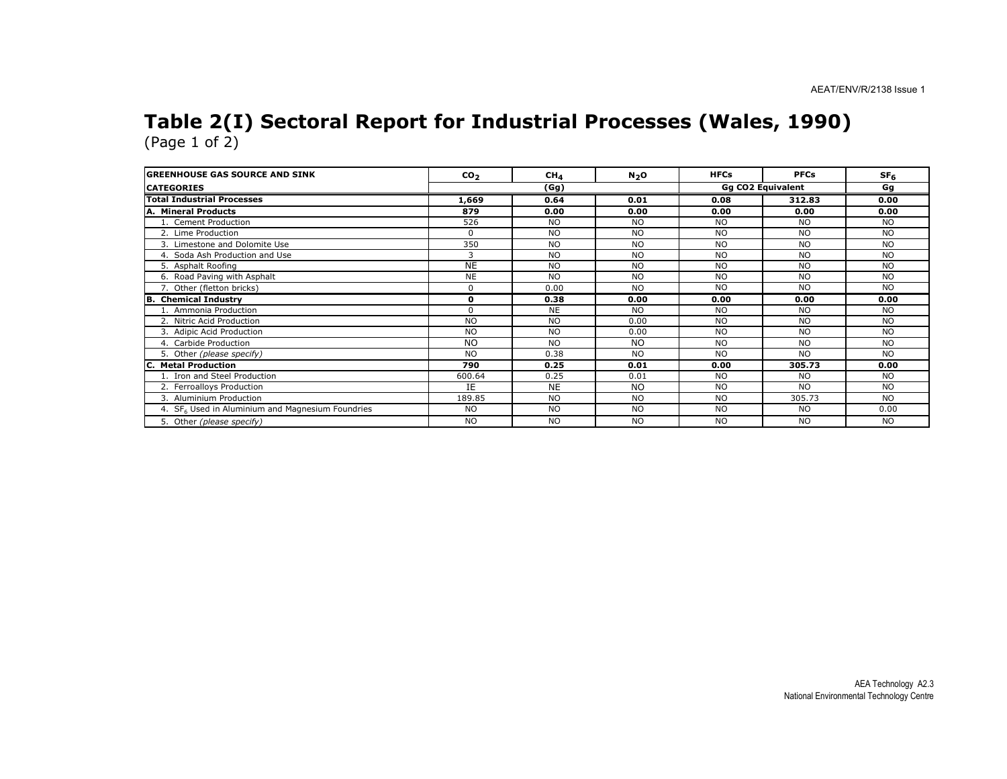#### Table 2(I) Sectoral Report for Industrial Processes (Wales, 1990) (Page 1 of 2)

| <b>GREENHOUSE GAS SOURCE AND SINK</b>                        | CO <sub>2</sub> | CH <sub>4</sub> | N <sub>2</sub> O | <b>HFCs</b>              | <b>PFCs</b> | SF <sub>6</sub> |
|--------------------------------------------------------------|-----------------|-----------------|------------------|--------------------------|-------------|-----------------|
| <b>CATEGORIES</b>                                            | (Gg)            |                 |                  | <b>Gg CO2 Equivalent</b> |             | Gq              |
| <b>Total Industrial Processes</b>                            | 1,669           | 0.64            | 0.01             | 0.08                     | 312.83      | 0.00            |
| A. Mineral Products                                          | 879             | 0.00            | 0.00             | 0.00                     | 0.00        | 0.00            |
| 1. Cement Production                                         | 526             | <b>NO</b>       | NO.              | <b>NO</b>                | <b>NO</b>   | <b>NO</b>       |
| 2. Lime Production                                           | $\Omega$        | <b>NO</b>       | <b>NO</b>        | <b>NO</b>                | <b>NO</b>   | <b>NO</b>       |
| 3. Limestone and Dolomite Use                                | 350             | <b>NO</b>       | NO.              | N <sub>O</sub>           | <b>NO</b>   | <b>NO</b>       |
| 4. Soda Ash Production and Use                               | 3               | <b>NO</b>       | <b>NO</b>        | <b>NO</b>                | <b>NO</b>   | <b>NO</b>       |
| 5. Asphalt Roofing                                           | <b>NE</b>       | <b>NO</b>       | <b>NO</b>        | <b>NO</b>                | <b>NO</b>   | <b>NO</b>       |
| 6. Road Paving with Asphalt                                  | <b>NE</b>       | <b>NO</b>       | <b>NO</b>        | <b>NO</b>                | <b>NO</b>   | <b>NO</b>       |
| 7. Other (fletton bricks)                                    | $\mathbf 0$     | 0.00            | <b>NO</b>        | <b>NO</b>                | <b>NO</b>   | <b>NO</b>       |
| <b>B.</b> Chemical Industry                                  | $\mathbf{o}$    | 0.38            | 0.00             | 0.00                     | 0.00        | 0.00            |
| 1. Ammonia Production                                        | $\Omega$        | <b>NE</b>       | NO.              | N <sub>O</sub>           | <b>NO</b>   | <b>NO</b>       |
| 2. Nitric Acid Production                                    | <b>NO</b>       | <b>NO</b>       | 0.00             | <b>NO</b>                | <b>NO</b>   | <b>NO</b>       |
| 3. Adipic Acid Production                                    | <b>NO</b>       | <b>NO</b>       | 0.00             | <b>NO</b>                | <b>NO</b>   | <b>NO</b>       |
| 4. Carbide Production                                        | <b>NO</b>       | <b>NO</b>       | <b>NO</b>        | <b>NO</b>                | <b>NO</b>   | <b>NO</b>       |
| 5. Other (please specify)                                    | <b>NO</b>       | 0.38            | NO.              | N <sub>O</sub>           | <b>NO</b>   | <b>NO</b>       |
| <b>C. Metal Production</b>                                   | 790             | 0.25            | 0.01             | 0.00                     | 305.73      | 0.00            |
| 1. Iron and Steel Production                                 | 600.64          | 0.25            | 0.01             | NO.                      | <b>NO</b>   | <b>NO</b>       |
| 2. Ferroalloys Production                                    | IE.             | <b>NE</b>       | <b>NO</b>        | <b>NO</b>                | <b>NO</b>   | <b>NO</b>       |
| 3. Aluminium Production                                      | 189.85          | <b>NO</b>       | <b>NO</b>        | <b>NO</b>                | 305.73      | <b>NO</b>       |
| 4. SF <sub>6</sub> Used in Aluminium and Magnesium Foundries | <b>NO</b>       | <b>NO</b>       | <b>NO</b>        | <b>NO</b>                | <b>NO</b>   | 0.00            |
| 5. Other (please specify)                                    | <b>NO</b>       | <b>NO</b>       | <b>NO</b>        | <b>NO</b>                | <b>NO</b>   | <b>NO</b>       |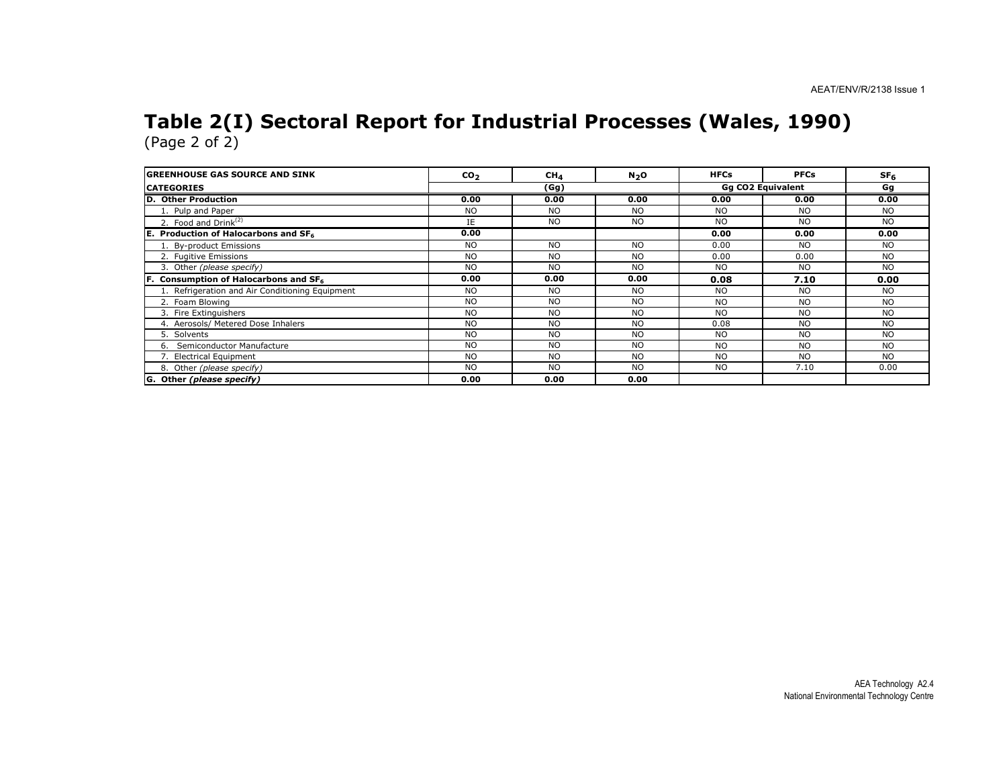# Table 2(I) Sectoral Report for Industrial Processes (Wales, 1990) (Page 2 of 2)

| <b>IGREENHOUSE GAS SOURCE AND SINK</b>            | CO <sub>2</sub> | CH <sub>4</sub> | N <sub>2</sub> O | <b>HFCs</b> | <b>PFCs</b>              | SF <sub>6</sub> |
|---------------------------------------------------|-----------------|-----------------|------------------|-------------|--------------------------|-----------------|
| <b>CATEGORIES</b>                                 |                 | (Gg)            |                  |             | <b>Gg CO2 Equivalent</b> | Gq              |
| D. Other Production                               | 0.00            | 0.00            | 0.00             | 0.00        | 0.00                     | 0.00            |
| 1. Pulp and Paper                                 | N <sub>O</sub>  | NO.             | NO.              | <b>NO</b>   | N <sub>O</sub>           | N <sub>O</sub>  |
| 2. Food and $Drink(2)$                            | IE              | <b>NO</b>       | <b>NO</b>        | <b>NO</b>   | N <sub>O</sub>           | N <sub>O</sub>  |
| E. Production of Halocarbons and SF <sub>6</sub>  | 0.00            |                 |                  | 0.00        | 0.00                     | 0.00            |
| 1. By-product Emissions                           | <b>NO</b>       | NO.             | NO.              | 0.00        | <b>NO</b>                | N <sub>O</sub>  |
| 2. Fugitive Emissions                             | <b>NO</b>       | <b>NO</b>       | NO.              | 0.00        | 0.00                     | <b>NO</b>       |
| 3. Other (please specify)                         | <b>NO</b>       | <b>NO</b>       | <b>NO</b>        | <b>NO</b>   | N <sub>O</sub>           | <b>NO</b>       |
| F. Consumption of Halocarbons and SF <sub>6</sub> | 0.00            | 0.00            | 0.00             | 0.08        | 7.10                     | 0.00            |
| 1. Refrigeration and Air Conditioning Equipment   | <b>NO</b>       | <b>NO</b>       | <b>NO</b>        | <b>NO</b>   | N <sub>O</sub>           | <b>NO</b>       |
| 2. Foam Blowing                                   | N <sub>O</sub>  | <b>NO</b>       | NO.              | <b>NO</b>   | <b>NO</b>                | N <sub>O</sub>  |
| 3. Fire Extinguishers                             | <b>NO</b>       | <b>NO</b>       | <b>NO</b>        | <b>NO</b>   | <b>NO</b>                | <b>NO</b>       |
| 4. Aerosols/ Metered Dose Inhalers                | <b>NO</b>       | <b>NO</b>       | <b>NO</b>        | 0.08        | N <sub>O</sub>           | <b>NO</b>       |
| 5. Solvents                                       | <b>NO</b>       | <b>NO</b>       | NO.              | <b>NO</b>   | <b>NO</b>                | <b>NO</b>       |
| Semiconductor Manufacture<br>6.                   | <b>NO</b>       | <b>NO</b>       | <b>NO</b>        | <b>NO</b>   | <b>NO</b>                | <b>NO</b>       |
| 7. Electrical Equipment                           | <b>NO</b>       | <b>NO</b>       | <b>NO</b>        | <b>NO</b>   | <b>NO</b>                | <b>NO</b>       |
| 8. Other (please specify)                         | <b>NO</b>       | <b>NO</b>       | <b>NO</b>        | <b>NO</b>   | 7.10                     | 0.00            |
| G. Other (please specify)                         | 0.00            | 0.00            | 0.00             |             |                          |                 |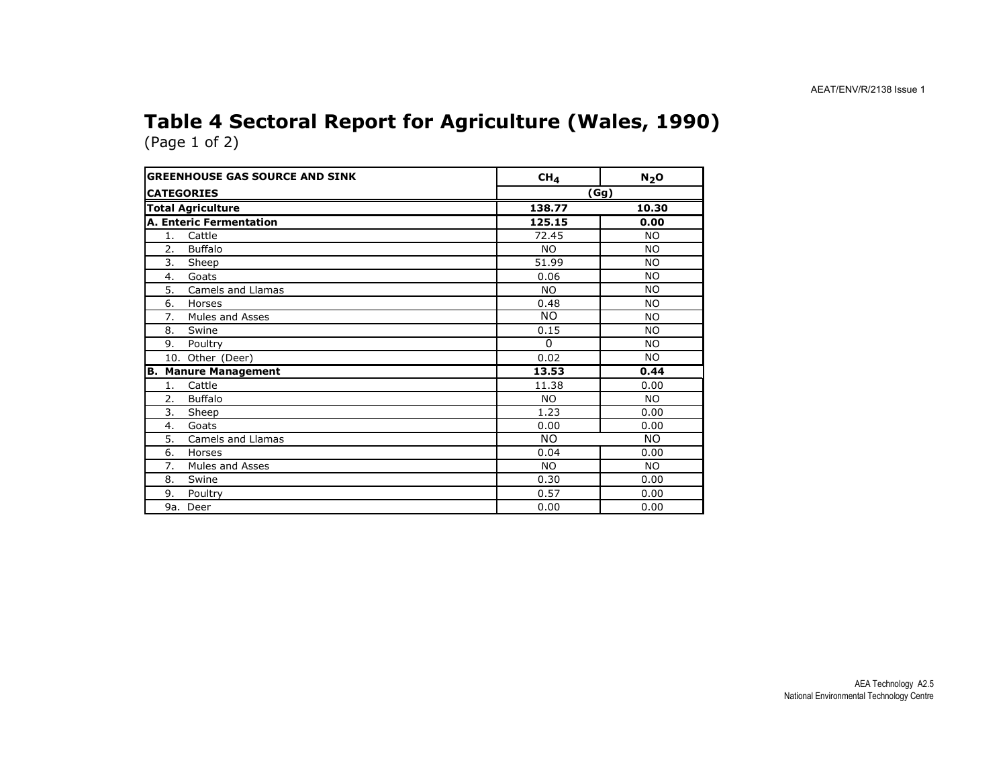#### Table 4 Sectoral Report for Agriculture (Wales, 1990) (Page 1 of 2)

| <b>GREENHOUSE GAS SOURCE AND SINK</b> | CH <sub>4</sub> | $N_2$ O   |
|---------------------------------------|-----------------|-----------|
| <b>CATEGORIES</b>                     | (Gg)            |           |
| <b>Total Agriculture</b>              | 138.77          | 10.30     |
| A. Enteric Fermentation               | 125.15          | 0.00      |
| Cattle<br>1.                          | 72.45           | <b>NO</b> |
| <b>Buffalo</b><br>2.                  | <b>NO</b>       | <b>NO</b> |
| 3.<br>Sheep                           | 51.99           | <b>NO</b> |
| 4.<br>Goats                           | 0.06            | <b>NO</b> |
| Camels and Llamas<br>5.               | <b>NO</b>       | <b>NO</b> |
| 6.<br>Horses                          | 0.48            | NO.       |
| Mules and Asses<br>7.                 | <b>NO</b>       | <b>NO</b> |
| Swine<br>8.                           | 0.15            | <b>NO</b> |
| 9.<br>Poultry                         | $\mathbf{0}$    | <b>NO</b> |
| 10. Other (Deer)                      | 0.02            | <b>NO</b> |
| <b>Manure Management</b><br>IB.       | 13.53           | 0.44      |
| Cattle<br>1.                          | 11.38           | 0.00      |
| 2.<br><b>Buffalo</b>                  | NO.             | NO.       |
| 3.<br>Sheep                           | 1.23            | 0.00      |
| Goats<br>4.                           | 0.00            | 0.00      |
| 5.<br>Camels and Llamas               | NO.             | NO.       |
| 6.<br>Horses                          | 0.04            | 0.00      |
| Mules and Asses<br>7.                 | <b>NO</b>       | <b>NO</b> |
| 8.<br>Swine                           | 0.30            | 0.00      |
| 9.<br>Poultry                         | 0.57            | 0.00      |
| 9a. Deer                              | 0.00            | 0.00      |

AEA Technology A2.5 National Environmental Technology Centre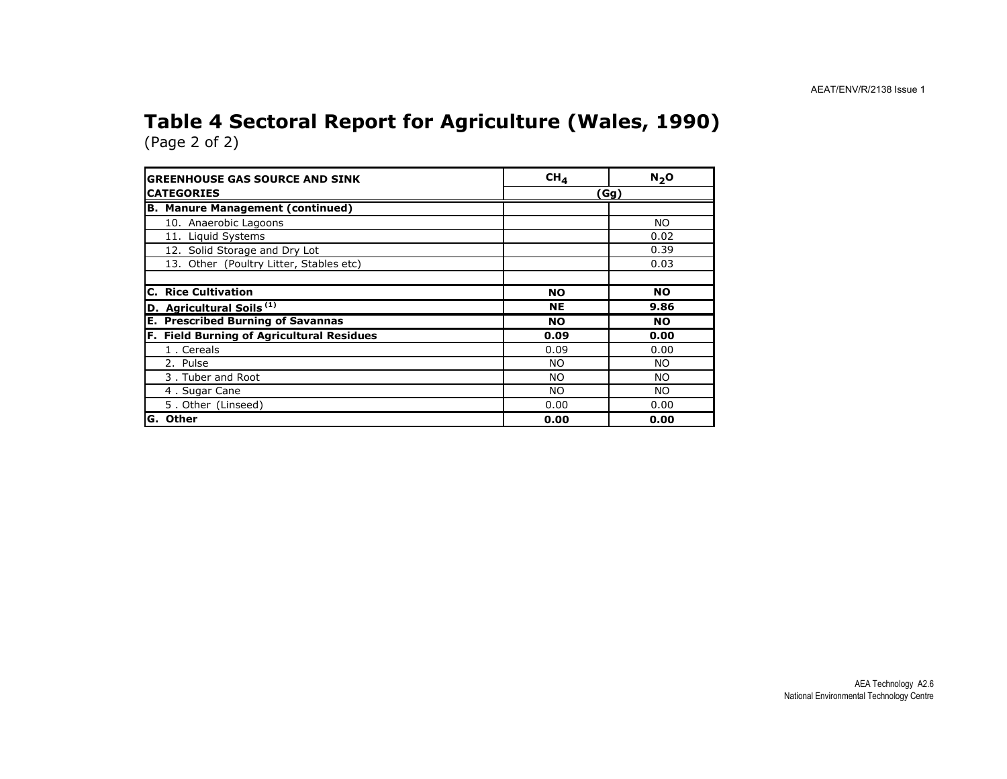#### Table 4 Sectoral Report for Agriculture (Wales, 1990) (Page 2 of 2)

| <b>GREENHOUSE GAS SOURCE AND SINK</b>     | CH <sub>4</sub> | $N_2$ O   |  |
|-------------------------------------------|-----------------|-----------|--|
| <b>CATEGORIES</b>                         | (Gg)            |           |  |
| <b>B. Manure Management (continued)</b>   |                 |           |  |
| 10. Anaerobic Lagoons                     |                 | <b>NO</b> |  |
| 11. Liquid Systems                        |                 | 0.02      |  |
| 12. Solid Storage and Dry Lot             |                 | 0.39      |  |
| 13. Other (Poultry Litter, Stables etc)   |                 | 0.03      |  |
|                                           |                 |           |  |
| <b>C. Rice Cultivation</b>                | <b>NO</b>       | <b>NO</b> |  |
| D. Agricultural Soils <sup>(1)</sup>      | <b>NE</b>       | 9.86      |  |
| <b>E. Prescribed Burning of Savannas</b>  | <b>NO</b>       | <b>NO</b> |  |
| F. Field Burning of Agricultural Residues | 0.09            | 0.00      |  |
| 1. Cereals                                | 0.09            | 0.00      |  |
| 2. Pulse                                  | <b>NO</b>       | NO.       |  |
| 3. Tuber and Root                         | NO.             | NO.       |  |
| 4. Sugar Cane                             | NO.             | NO.       |  |
| 5. Other (Linseed)                        | 0.00            | 0.00      |  |
| lG. Other                                 | 0.00            | 0.00      |  |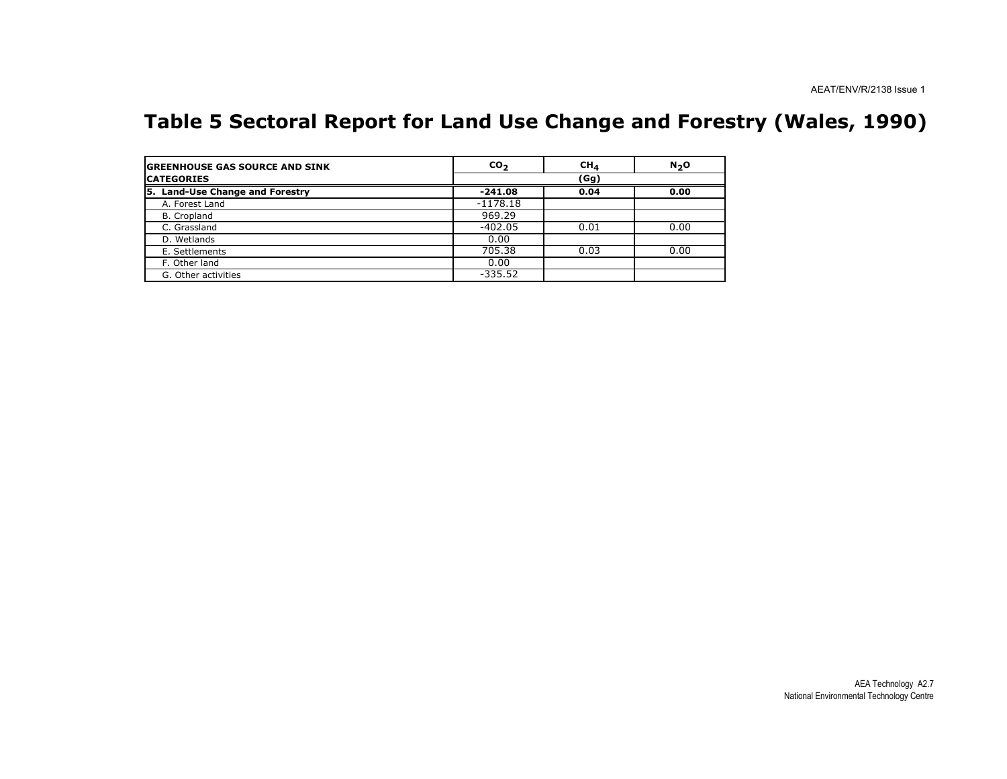### Table 5 Sectoral Report for Land Use Change and Forestry (Wales, 1990)

| <b>IGREENHOUSE GAS SOURCE AND SINK</b> | $\mathbf{co}_{2}$ | CH <sub>4</sub> | N <sub>2</sub> O |
|----------------------------------------|-------------------|-----------------|------------------|
| <b>CATEGORIES</b>                      |                   | (Gg)            |                  |
| 5. Land-Use Change and Forestry        | $-241.08$         | 0.04            | 0.00             |
| A. Forest Land                         | $-1178.18$        |                 |                  |
| B. Cropland                            | 969.29            |                 |                  |
| C. Grassland                           | $-402.05$         | 0.01            | 0.00             |
| D. Wetlands                            | 0.00              |                 |                  |
| E. Settlements                         | 705.38            | 0.03            | 0.00             |
| F. Other land                          | 0.00              |                 |                  |
| G. Other activities                    | $-335.52$         |                 |                  |

 AEA Technology A2.7 National Environmental Technology Centre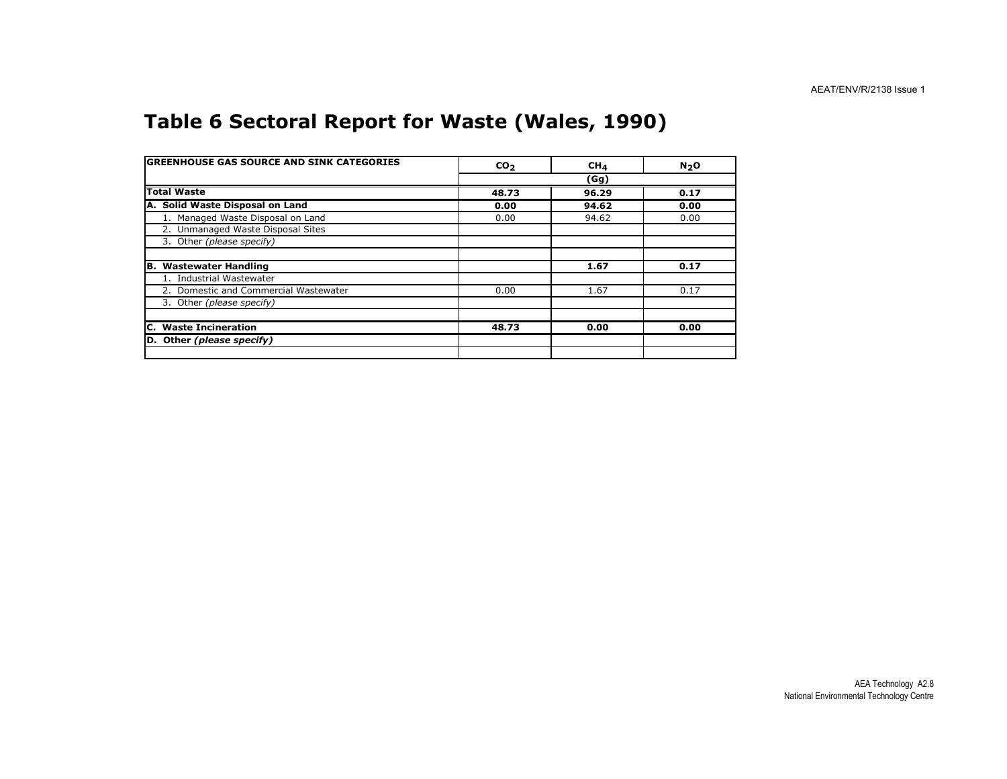### Table 6 Sectoral Report for Waste (Wales, 1990)

| <b>GREENHOUSE GAS SOURCE AND SINK CATEGORIES</b> | CO <sub>2</sub> | CH <sub>4</sub> | $N2$ O |
|--------------------------------------------------|-----------------|-----------------|--------|
|                                                  |                 | (Gg)            |        |
| <b>Total Waste</b>                               | 48.73           | 96.29           | 0.17   |
| A. Solid Waste Disposal on Land                  | 0.00            | 94.62           | 0.00   |
| 1. Managed Waste Disposal on Land                | 0.00            | 94.62           | 0.00   |
| 2. Unmanaged Waste Disposal Sites                |                 |                 |        |
| 3. Other (please specify)                        |                 |                 |        |
|                                                  |                 |                 |        |
| B. Wastewater Handling                           |                 | 1.67            | 0.17   |
| 1. Industrial Wastewater                         |                 |                 |        |
| 2. Domestic and Commercial Wastewater            | 0.00            | 1.67            | 0.17   |
| 3. Other (please specify)                        |                 |                 |        |
|                                                  |                 |                 |        |
| C. Waste Incineration                            | 48.73           | 0.00            | 0.00   |
| D. Other (please specify)                        |                 |                 |        |
|                                                  |                 |                 |        |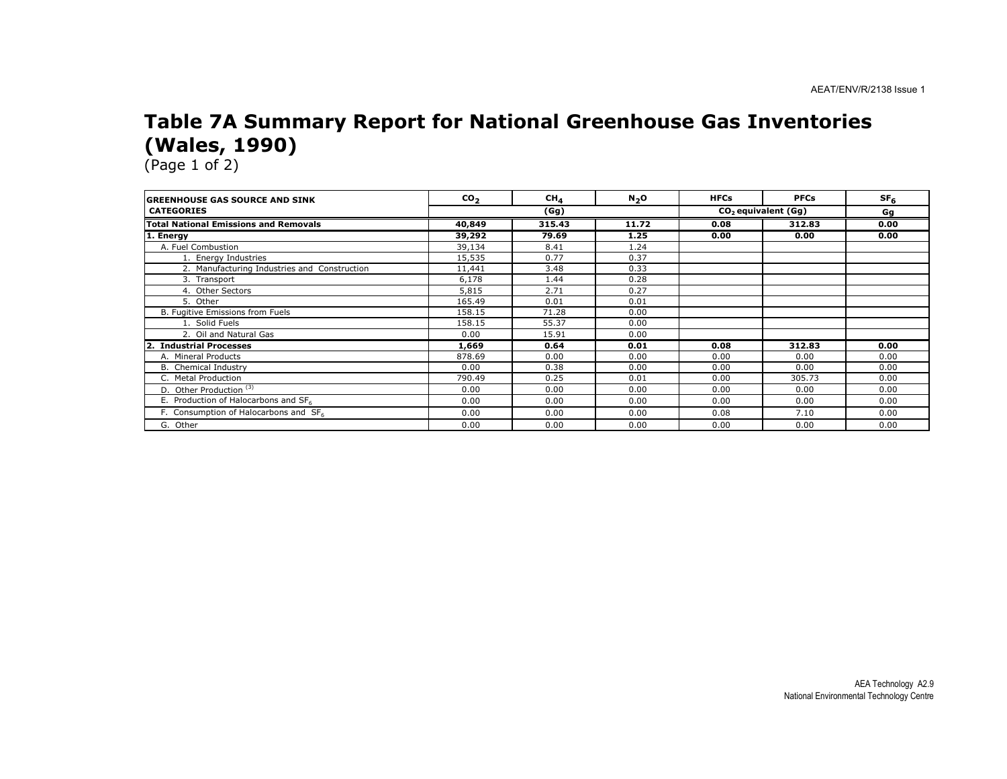#### Table 7A Summary Report for National Greenhouse Gas Inventories (Wales, 1990)

| <b>GREENHOUSE GAS SOURCE AND SINK</b>             | CO <sub>2</sub> | CH <sub>4</sub> | N <sub>2</sub> O | <b>HFCs</b> | <b>PFCs</b>           | SF <sub>6</sub> |
|---------------------------------------------------|-----------------|-----------------|------------------|-------------|-----------------------|-----------------|
| <b>CATEGORIES</b>                                 |                 | (Gg)            |                  |             | $CO2$ equivalent (Gg) | Gg              |
| <b>Total National Emissions and Removals</b>      | 40,849          | 315.43          | 11.72            | 0.08        | 312.83                | 0.00            |
| 1. Energy                                         | 39,292          | 79.69           | 1.25             | 0.00        | 0.00                  | 0.00            |
| A. Fuel Combustion                                | 39,134          | 8.41            | 1.24             |             |                       |                 |
| 1. Energy Industries                              | 15,535          | 0.77            | 0.37             |             |                       |                 |
| 2. Manufacturing Industries and Construction      | 11,441          | 3.48            | 0.33             |             |                       |                 |
| 3. Transport                                      | 6,178           | 1.44            | 0.28             |             |                       |                 |
| 4. Other Sectors                                  | 5,815           | 2.71            | 0.27             |             |                       |                 |
| 5. Other                                          | 165.49          | 0.01            | 0.01             |             |                       |                 |
| B. Fugitive Emissions from Fuels                  | 158.15          | 71.28           | 0.00             |             |                       |                 |
| 1. Solid Fuels                                    | 158.15          | 55.37           | 0.00             |             |                       |                 |
| 2. Oil and Natural Gas                            | 0.00            | 15.91           | 0.00             |             |                       |                 |
| <b>Industrial Processes</b>                       | 1,669           | 0.64            | 0.01             | 0.08        | 312.83                | 0.00            |
| A. Mineral Products                               | 878.69          | 0.00            | 0.00             | 0.00        | 0.00                  | 0.00            |
| B. Chemical Industry                              | 0.00            | 0.38            | 0.00             | 0.00        | 0.00                  | 0.00            |
| C. Metal Production                               | 790.49          | 0.25            | 0.01             | 0.00        | 305.73                | 0.00            |
| D. Other Production <sup>(3)</sup>                | 0.00            | 0.00            | 0.00             | 0.00        | 0.00                  | 0.00            |
| E. Production of Halocarbons and SF6              | 0.00            | 0.00            | 0.00             | 0.00        | 0.00                  | 0.00            |
| F. Consumption of Halocarbons and SF <sub>6</sub> | 0.00            | 0.00            | 0.00             | 0.08        | 7.10                  | 0.00            |
| G. Other                                          | 0.00            | 0.00            | 0.00             | 0.00        | 0.00                  | 0.00            |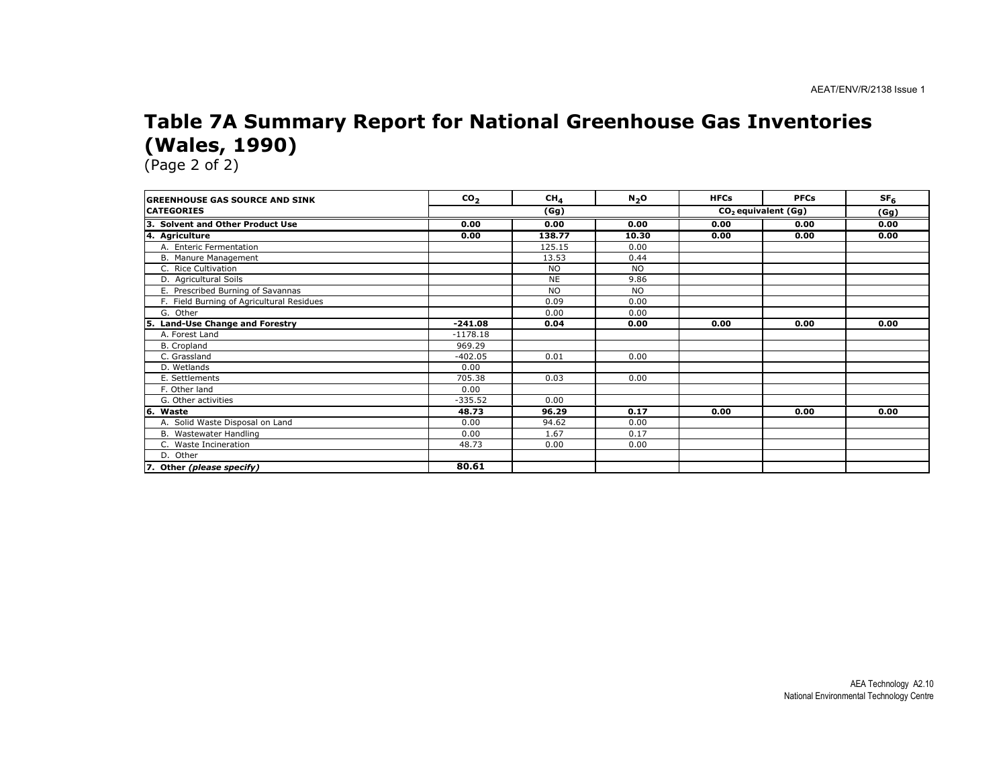#### Table 7A Summary Report for National Greenhouse Gas Inventories (Wales, 1990)

| <b>GREENHOUSE GAS SOURCE AND SINK</b>     | CO <sub>2</sub> | CH <sub>4</sub> | N <sub>2</sub> O | <b>HFCs</b> | <b>PFCs</b>           | SF <sub>6</sub> |
|-------------------------------------------|-----------------|-----------------|------------------|-------------|-----------------------|-----------------|
| <b>CATEGORIES</b>                         | (Gg)            |                 |                  |             | $CO2$ equivalent (Gg) | (Gg)            |
| 3. Solvent and Other Product Use          | 0.00            | 0.00            | 0.00             | 0.00        | 0.00                  | 0.00            |
| 4. Agriculture                            | 0.00            | 138.77          | 10.30            | 0.00        | 0.00                  | 0.00            |
| A. Enteric Fermentation                   |                 | 125.15          | 0.00             |             |                       |                 |
| B. Manure Management                      |                 | 13.53           | 0.44             |             |                       |                 |
| C. Rice Cultivation                       |                 | <b>NO</b>       | <b>NO</b>        |             |                       |                 |
| D. Agricultural Soils                     |                 | <b>NE</b>       | 9.86             |             |                       |                 |
| E. Prescribed Burning of Savannas         |                 | <b>NO</b>       | <b>NO</b>        |             |                       |                 |
| F. Field Burning of Agricultural Residues |                 | 0.09            | 0.00             |             |                       |                 |
| G. Other                                  |                 | 0.00            | 0.00             |             |                       |                 |
| Land-Use Change and Forestry              | $-241.08$       | 0.04            | 0.00             | 0.00        | 0.00                  | 0.00            |
| A. Forest Land                            | $-1178.18$      |                 |                  |             |                       |                 |
| B. Cropland                               | 969.29          |                 |                  |             |                       |                 |
| C. Grassland                              | $-402.05$       | 0.01            | 0.00             |             |                       |                 |
| D. Wetlands                               | 0.00            |                 |                  |             |                       |                 |
| E. Settlements                            | 705.38          | 0.03            | 0.00             |             |                       |                 |
| F. Other land                             | 0.00            |                 |                  |             |                       |                 |
| G. Other activities                       | $-335.52$       | 0.00            |                  |             |                       |                 |
| 6.<br>Waste                               | 48.73           | 96.29           | 0.17             | 0.00        | 0.00                  | 0.00            |
| A. Solid Waste Disposal on Land           | 0.00            | 94.62           | 0.00             |             |                       |                 |
| B. Wastewater Handling                    | 0.00            | 1.67            | 0.17             |             |                       |                 |
| C. Waste Incineration                     | 48.73           | 0.00            | 0.00             |             |                       |                 |
| D. Other                                  |                 |                 |                  |             |                       |                 |
| 7. Other (please specify)                 | 80.61           |                 |                  |             |                       |                 |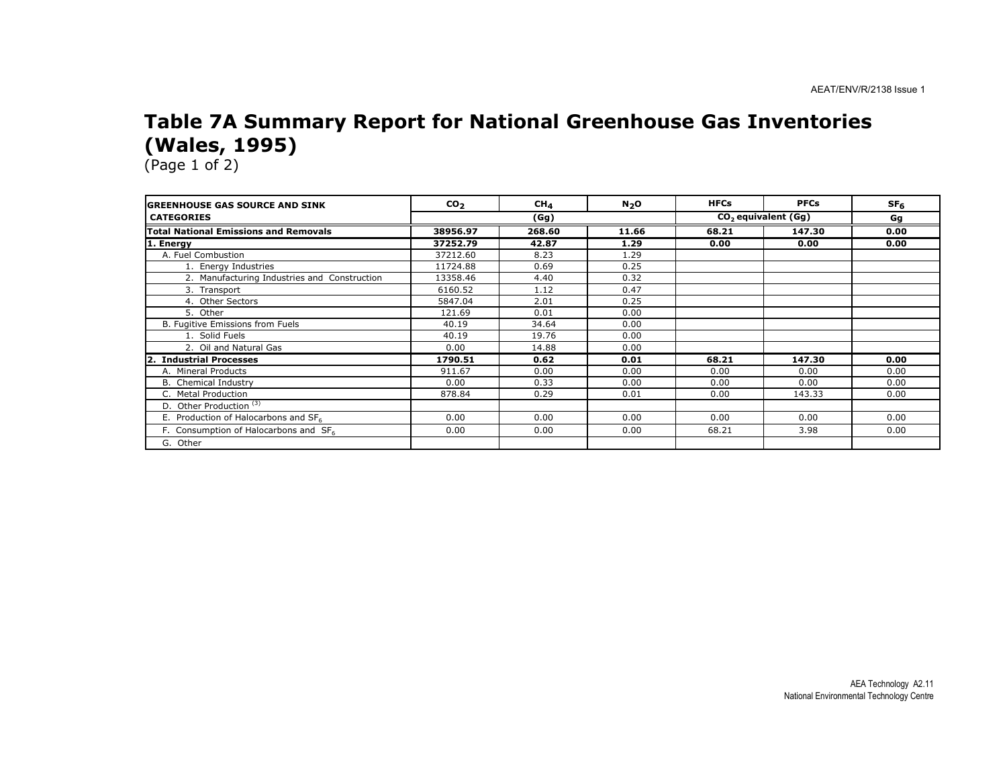### Table 7A Summary Report for National Greenhouse Gas Inventories (Wales, 1995)

| <b>IGREENHOUSE GAS SOURCE AND SINK</b>            | CO <sub>2</sub> | CH <sub>4</sub> | $N_2$ O | <b>HFCs</b> | <b>PFCs</b>                     | SF <sub>6</sub> |
|---------------------------------------------------|-----------------|-----------------|---------|-------------|---------------------------------|-----------------|
| <b>CATEGORIES</b>                                 |                 | (Gg)            |         |             | CO <sub>2</sub> equivalent (Gg) | Gg              |
| <b>Total National Emissions and Removals</b>      | 38956.97        | 268.60          | 11.66   | 68.21       | 147.30                          | 0.00            |
| 1. Energy                                         | 37252.79        | 42.87           | 1.29    | 0.00        | 0.00                            | 0.00            |
| A. Fuel Combustion                                | 37212.60        | 8.23            | 1.29    |             |                                 |                 |
| 1. Energy Industries                              | 11724.88        | 0.69            | 0.25    |             |                                 |                 |
| 2. Manufacturing Industries and Construction      | 13358.46        | 4.40            | 0.32    |             |                                 |                 |
| 3. Transport                                      | 6160.52         | 1.12            | 0.47    |             |                                 |                 |
| 4. Other Sectors                                  | 5847.04         | 2.01            | 0.25    |             |                                 |                 |
| 5. Other                                          | 121.69          | 0.01            | 0.00    |             |                                 |                 |
| B. Fugitive Emissions from Fuels                  | 40.19           | 34.64           | 0.00    |             |                                 |                 |
| 1. Solid Fuels                                    | 40.19           | 19.76           | 0.00    |             |                                 |                 |
| 2. Oil and Natural Gas                            | 0.00            | 14.88           | 0.00    |             |                                 |                 |
| 12.<br><b>Industrial Processes</b>                | 1790.51         | 0.62            | 0.01    | 68.21       | 147.30                          | 0.00            |
| A. Mineral Products                               | 911.67          | 0.00            | 0.00    | 0.00        | 0.00                            | 0.00            |
| B. Chemical Industry                              | 0.00            | 0.33            | 0.00    | 0.00        | 0.00                            | 0.00            |
| C. Metal Production                               | 878.84          | 0.29            | 0.01    | 0.00        | 143.33                          | 0.00            |
| D. Other Production <sup>(3)</sup>                |                 |                 |         |             |                                 |                 |
| E. Production of Halocarbons and $SF6$            | 0.00            | 0.00            | 0.00    | 0.00        | 0.00                            | 0.00            |
| F. Consumption of Halocarbons and SF <sub>6</sub> | 0.00            | 0.00            | 0.00    | 68.21       | 3.98                            | 0.00            |
| G. Other                                          |                 |                 |         |             |                                 |                 |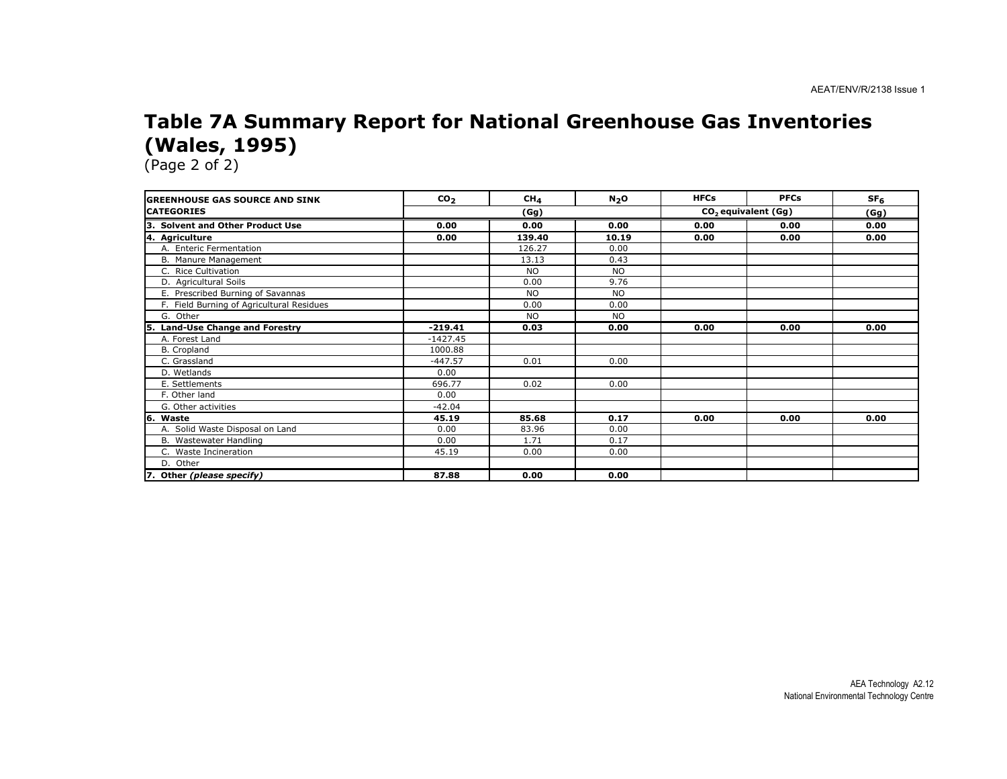#### Table 7A Summary Report for National Greenhouse Gas Inventories (Wales, 1995)

| <b>IGREENHOUSE GAS SOURCE AND SINK</b>     | CO <sub>2</sub> | CH <sub>4</sub> | N <sub>2</sub> O | <b>HFCs</b> | <b>PFCs</b>                     | SF <sub>6</sub> |
|--------------------------------------------|-----------------|-----------------|------------------|-------------|---------------------------------|-----------------|
| <b>CATEGORIES</b>                          | (Gg)            |                 |                  |             | CO <sub>2</sub> equivalent (Gg) | (Gg)            |
| 3. Solvent and Other Product Use           | 0.00            | 0.00            | 0.00             | 0.00        | 0.00                            | 0.00            |
| 4. Agriculture                             | 0.00            | 139.40          | 10.19            | 0.00        | 0.00                            | 0.00            |
| A. Enteric Fermentation                    |                 | 126.27          | 0.00             |             |                                 |                 |
| B. Manure Management                       |                 | 13.13           | 0.43             |             |                                 |                 |
| C. Rice Cultivation                        |                 | <b>NO</b>       | <b>NO</b>        |             |                                 |                 |
| D. Agricultural Soils                      |                 | 0.00            | 9.76             |             |                                 |                 |
| E. Prescribed Burning of Savannas          |                 | <b>NO</b>       | <b>NO</b>        |             |                                 |                 |
| F. Field Burning of Agricultural Residues  |                 | 0.00            | 0.00             |             |                                 |                 |
| G. Other                                   |                 | <b>NO</b>       | <b>NO</b>        |             |                                 |                 |
| <b>Land-Use Change and Forestry</b><br>15. | $-219.41$       | 0.03            | 0.00             | 0.00        | 0.00                            | 0.00            |
| A. Forest Land                             | $-1427.45$      |                 |                  |             |                                 |                 |
| B. Cropland                                | 1000.88         |                 |                  |             |                                 |                 |
| C. Grassland                               | $-447.57$       | 0.01            | 0.00             |             |                                 |                 |
| D. Wetlands                                | 0.00            |                 |                  |             |                                 |                 |
| E. Settlements                             | 696.77          | 0.02            | 0.00             |             |                                 |                 |
| F. Other land                              | 0.00            |                 |                  |             |                                 |                 |
| G. Other activities                        | $-42.04$        |                 |                  |             |                                 |                 |
| 6. Waste                                   | 45.19           | 85.68           | 0.17             | 0.00        | 0.00                            | 0.00            |
| A. Solid Waste Disposal on Land            | 0.00            | 83.96           | 0.00             |             |                                 |                 |
| B. Wastewater Handling                     | 0.00            | 1.71            | 0.17             |             |                                 |                 |
| C. Waste Incineration                      | 45.19           | 0.00            | 0.00             |             |                                 |                 |
| D. Other                                   |                 |                 |                  |             |                                 |                 |
| 7. Other (please specify)                  | 87.88           | 0.00            | 0.00             |             |                                 |                 |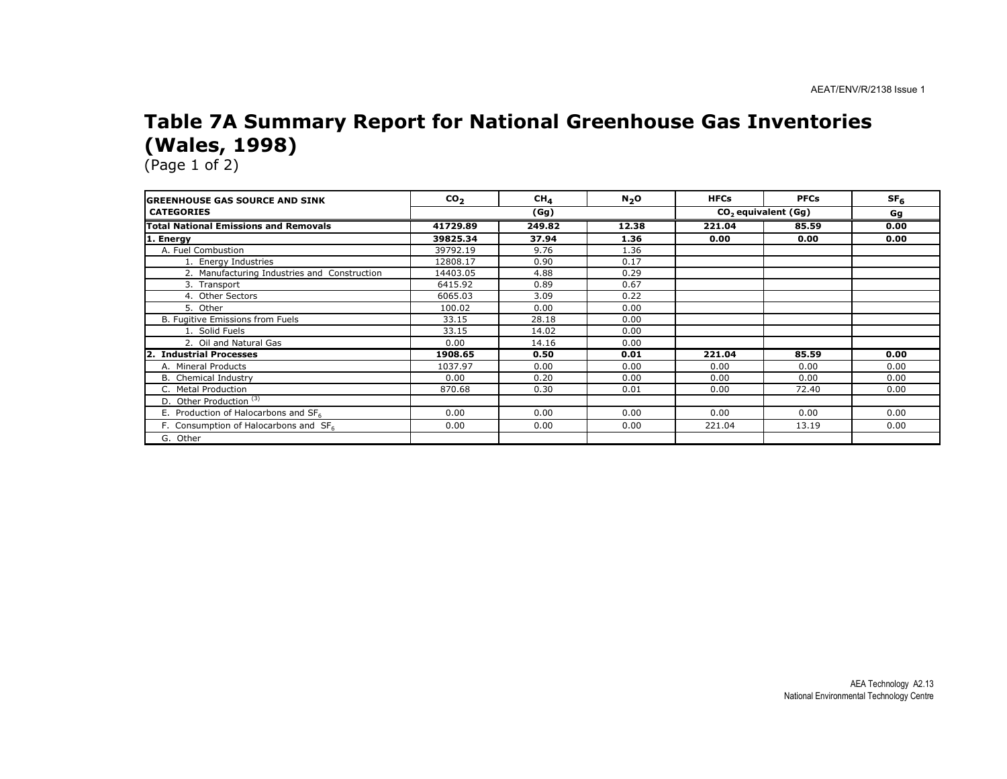### Table 7A Summary Report for National Greenhouse Gas Inventories (Wales, 1998)

| <b>GREENHOUSE GAS SOURCE AND SINK</b>             | CO <sub>2</sub> | CH <sub>4</sub> | $N_2$ O | <b>HFCs</b> | <b>PFCs</b>                     | SF <sub>6</sub> |
|---------------------------------------------------|-----------------|-----------------|---------|-------------|---------------------------------|-----------------|
| <b>CATEGORIES</b>                                 |                 | (Gg)            |         |             | CO <sub>2</sub> equivalent (Gg) |                 |
| <b>Total National Emissions and Removals</b>      | 41729.89        | 249.82          | 12.38   | 221.04      | 85.59                           | 0.00            |
| 1. Energy                                         | 39825.34        | 37.94           | 1.36    | 0.00        | 0.00                            | 0.00            |
| A. Fuel Combustion                                | 39792.19        | 9.76            | 1.36    |             |                                 |                 |
| 1. Energy Industries                              | 12808.17        | 0.90            | 0.17    |             |                                 |                 |
| 2. Manufacturing Industries and Construction      | 14403.05        | 4.88            | 0.29    |             |                                 |                 |
| 3. Transport                                      | 6415.92         | 0.89            | 0.67    |             |                                 |                 |
| 4. Other Sectors                                  | 6065.03         | 3.09            | 0.22    |             |                                 |                 |
| 5. Other                                          | 100.02          | 0.00            | 0.00    |             |                                 |                 |
| B. Fugitive Emissions from Fuels                  | 33.15           | 28.18           | 0.00    |             |                                 |                 |
| 1. Solid Fuels                                    | 33.15           | 14.02           | 0.00    |             |                                 |                 |
| 2. Oil and Natural Gas                            | 0.00            | 14.16           | 0.00    |             |                                 |                 |
| $\overline{2}$ .<br><b>Industrial Processes</b>   | 1908.65         | 0.50            | 0.01    | 221.04      | 85.59                           | 0.00            |
| A. Mineral Products                               | 1037.97         | 0.00            | 0.00    | 0.00        | 0.00                            | 0.00            |
| <b>B.</b> Chemical Industry                       | 0.00            | 0.20            | 0.00    | 0.00        | 0.00                            | 0.00            |
| C. Metal Production                               | 870.68          | 0.30            | 0.01    | 0.00        | 72.40                           | 0.00            |
| D. Other Production <sup>(3)</sup>                |                 |                 |         |             |                                 |                 |
| E. Production of Halocarbons and SF6              | 0.00            | 0.00            | 0.00    | 0.00        | 0.00                            | 0.00            |
| F. Consumption of Halocarbons and SF <sub>6</sub> | 0.00            | 0.00            | 0.00    | 221.04      | 13.19                           | 0.00            |
| G. Other                                          |                 |                 |         |             |                                 |                 |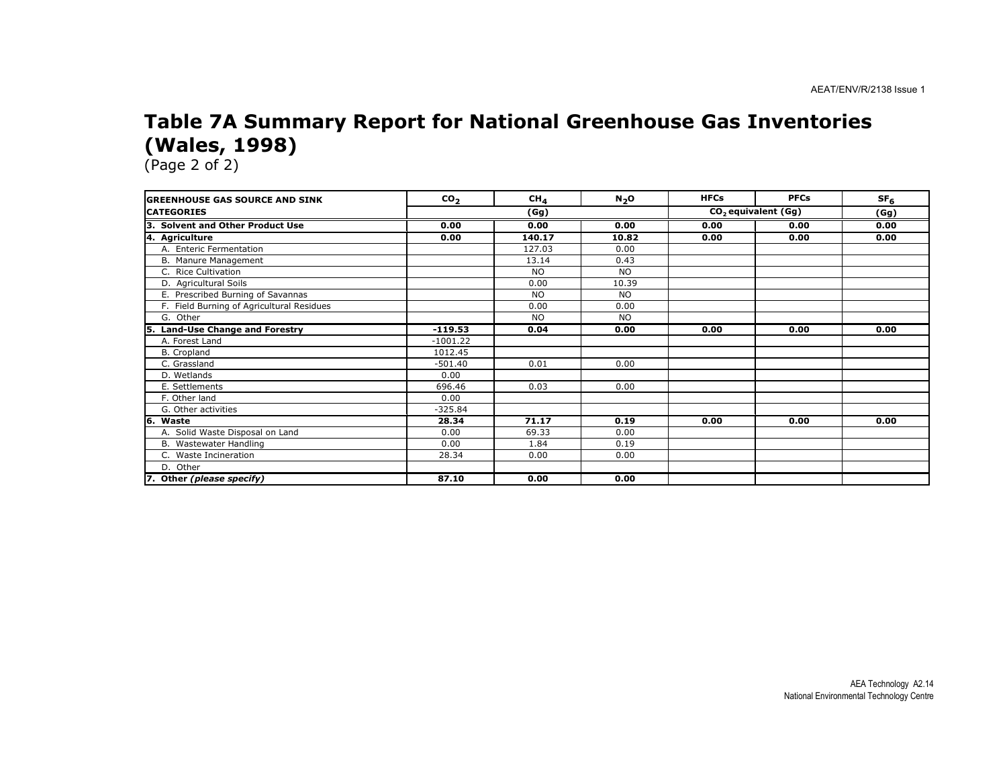#### Table 7A Summary Report for National Greenhouse Gas Inventories (Wales, 1998)

(Page 2 of 2)

na.

| <b>GREENHOUSE GAS SOURCE AND SINK</b>     | CO <sub>2</sub> | CH <sub>4</sub> | N <sub>2</sub> O | <b>HFCs</b> | <b>PFCs</b>           | SF <sub>6</sub> |
|-------------------------------------------|-----------------|-----------------|------------------|-------------|-----------------------|-----------------|
| <b>CATEGORIES</b>                         |                 | (Gg)            |                  |             | $CO2$ equivalent (Gg) |                 |
| 3. Solvent and Other Product Use          | 0.00            | 0.00            | 0.00             | 0.00        | 0.00                  | 0.00            |
| 4. Agriculture                            | 0.00            | 140.17          | 10.82            | 0.00        | 0.00                  | 0.00            |
| A. Enteric Fermentation                   |                 | 127.03          | 0.00             |             |                       |                 |
| B. Manure Management                      |                 | 13.14           | 0.43             |             |                       |                 |
| C. Rice Cultivation                       |                 | <b>NO</b>       | <b>NO</b>        |             |                       |                 |
| D. Agricultural Soils                     |                 | 0.00            | 10.39            |             |                       |                 |
| E. Prescribed Burning of Savannas         |                 | <b>NO</b>       | <b>NO</b>        |             |                       |                 |
| F. Field Burning of Agricultural Residues |                 | 0.00            | 0.00             |             |                       |                 |
| G. Other                                  |                 | <b>NO</b>       | <b>NO</b>        |             |                       |                 |
| 5. Land-Use Change and Forestry           | $-119.53$       | 0.04            | 0.00             | 0.00        | 0.00                  | 0.00            |
| A. Forest Land                            | $-1001.22$      |                 |                  |             |                       |                 |
| B. Cropland                               | 1012.45         |                 |                  |             |                       |                 |
| C. Grassland                              | $-501.40$       | 0.01            | 0.00             |             |                       |                 |
| D. Wetlands                               | 0.00            |                 |                  |             |                       |                 |
| E. Settlements                            | 696.46          | 0.03            | 0.00             |             |                       |                 |
| F. Other land                             | 0.00            |                 |                  |             |                       |                 |
| G. Other activities                       | $-325.84$       |                 |                  |             |                       |                 |
| 6. Waste                                  | 28.34           | 71.17           | 0.19             | 0.00        | 0.00                  | 0.00            |
| A. Solid Waste Disposal on Land           | 0.00            | 69.33           | 0.00             |             |                       |                 |
| B. Wastewater Handling                    | 0.00            | 1.84            | 0.19             |             |                       |                 |
| C. Waste Incineration                     | 28.34           | 0.00            | 0.00             |             |                       |                 |
| D. Other                                  |                 |                 |                  |             |                       |                 |
| 7. Other (please specify)                 | 87.10           | 0.00            | 0.00             |             |                       |                 |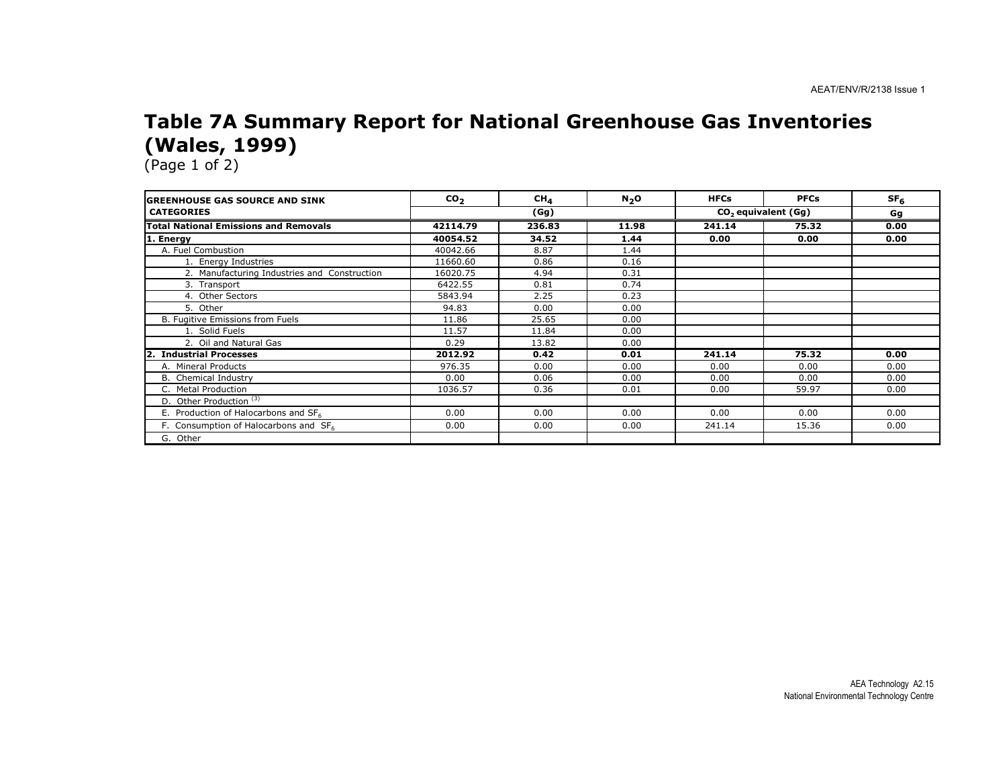### Table 7A Summary Report for National Greenhouse Gas Inventories (Wales, 1999)

| <b>GREENHOUSE GAS SOURCE AND SINK</b>             | CO <sub>2</sub> | CH <sub>4</sub> | $N_2$ O | <b>HFCs</b> | <b>PFCs</b>                     | SF <sub>6</sub> |
|---------------------------------------------------|-----------------|-----------------|---------|-------------|---------------------------------|-----------------|
| <b>CATEGORIES</b>                                 |                 | (Gg)            |         |             | CO <sub>2</sub> equivalent (Gg) |                 |
| <b>Total National Emissions and Removals</b>      | 42114.79        | 236.83          | 11.98   | 241.14      | 75.32                           | 0.00            |
| 1. Energy                                         | 40054.52        | 34.52           | 1.44    | 0.00        | 0.00                            | 0.00            |
| A. Fuel Combustion                                | 40042.66        | 8.87            | 1.44    |             |                                 |                 |
| 1. Energy Industries                              | 11660.60        | 0.86            | 0.16    |             |                                 |                 |
| 2. Manufacturing Industries and Construction      | 16020.75        | 4.94            | 0.31    |             |                                 |                 |
| 3. Transport                                      | 6422.55         | 0.81            | 0.74    |             |                                 |                 |
| 4. Other Sectors                                  | 5843.94         | 2.25            | 0.23    |             |                                 |                 |
| 5. Other                                          | 94.83           | 0.00            | 0.00    |             |                                 |                 |
| B. Fugitive Emissions from Fuels                  | 11.86           | 25.65           | 0.00    |             |                                 |                 |
| 1. Solid Fuels                                    | 11.57           | 11.84           | 0.00    |             |                                 |                 |
| 2. Oil and Natural Gas                            | 0.29            | 13.82           | 0.00    |             |                                 |                 |
| $\overline{2}$ .<br><b>Industrial Processes</b>   | 2012.92         | 0.42            | 0.01    | 241.14      | 75.32                           | 0.00            |
| A. Mineral Products                               | 976.35          | 0.00            | 0.00    | 0.00        | 0.00                            | 0.00            |
| <b>B.</b> Chemical Industry                       | 0.00            | 0.06            | 0.00    | 0.00        | 0.00                            | 0.00            |
| C. Metal Production                               | 1036.57         | 0.36            | 0.01    | 0.00        | 59.97                           | 0.00            |
| D. Other Production <sup>(3)</sup>                |                 |                 |         |             |                                 |                 |
| E. Production of Halocarbons and SF6              | 0.00            | 0.00            | 0.00    | 0.00        | 0.00                            | 0.00            |
| F. Consumption of Halocarbons and SF <sub>6</sub> | 0.00            | 0.00            | 0.00    | 241.14      | 15.36                           | 0.00            |
| G. Other                                          |                 |                 |         |             |                                 |                 |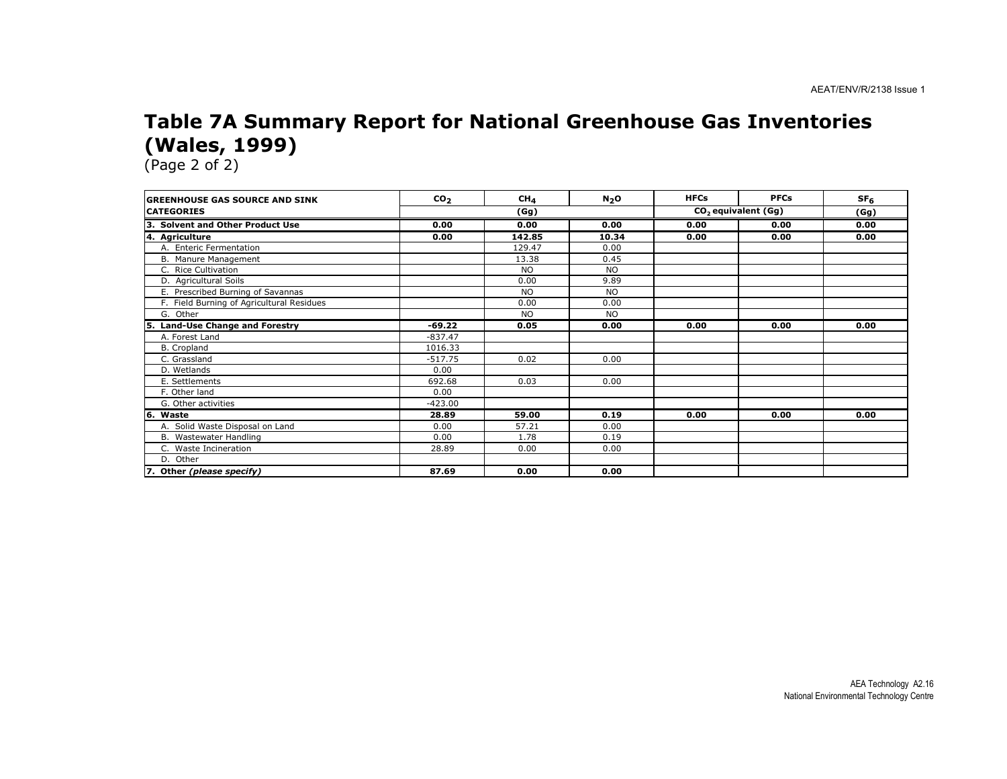### Table 7A Summary Report for National Greenhouse Gas Inventories (Wales, 1999)

| <b>IGREENHOUSE GAS SOURCE AND SINK</b>      | CO <sub>2</sub> | CH <sub>A</sub> | N <sub>2</sub> O | <b>HFCs</b> | <b>PFCs</b>           | SF <sub>6</sub> |
|---------------------------------------------|-----------------|-----------------|------------------|-------------|-----------------------|-----------------|
| <b>ICATEGORIES</b>                          | (Gg)            |                 |                  |             | $CO2$ equivalent (Gg) |                 |
| Із.<br><b>Solvent and Other Product Use</b> | 0.00            | 0.00            | 0.00             | 0.00        | 0.00                  | 0.00            |
| 4. Agriculture                              | 0.00            | 142.85          | 10.34            | 0.00        | 0.00                  | 0.00            |
| A. Enteric Fermentation                     |                 | 129.47          | 0.00             |             |                       |                 |
| B. Manure Management                        |                 | 13.38           | 0.45             |             |                       |                 |
| C. Rice Cultivation                         |                 | <b>NO</b>       | <b>NO</b>        |             |                       |                 |
| D. Agricultural Soils                       |                 | 0.00            | 9.89             |             |                       |                 |
| E. Prescribed Burning of Savannas           |                 | <b>NO</b>       | <b>NO</b>        |             |                       |                 |
| F. Field Burning of Agricultural Residues   |                 | 0.00            | 0.00             |             |                       |                 |
| G. Other                                    |                 | <b>NO</b>       | NO.              |             |                       |                 |
| <b>Land-Use Change and Forestry</b><br>l5.  | -69.22          | 0.05            | 0.00             | 0.00        | 0.00                  | 0.00            |
| A. Forest Land                              | $-837.47$       |                 |                  |             |                       |                 |
| B. Cropland                                 | 1016.33         |                 |                  |             |                       |                 |
| C. Grassland                                | $-517.75$       | 0.02            | 0.00             |             |                       |                 |
| D. Wetlands                                 | 0.00            |                 |                  |             |                       |                 |
| E. Settlements                              | 692.68          | 0.03            | 0.00             |             |                       |                 |
| F. Other land                               | 0.00            |                 |                  |             |                       |                 |
| G. Other activities                         | $-423.00$       |                 |                  |             |                       |                 |
| 6. Waste                                    | 28.89           | 59.00           | 0.19             | 0.00        | 0.00                  | 0.00            |
| A. Solid Waste Disposal on Land             | 0.00            | 57.21           | 0.00             |             |                       |                 |
| B. Wastewater Handling                      | 0.00            | 1.78            | 0.19             |             |                       |                 |
| C. Waste Incineration                       | 28.89           | 0.00            | 0.00             |             |                       |                 |
| D. Other                                    |                 |                 |                  |             |                       |                 |
| 7. Other (please specify)                   | 87.69           | 0.00            | 0.00             |             |                       |                 |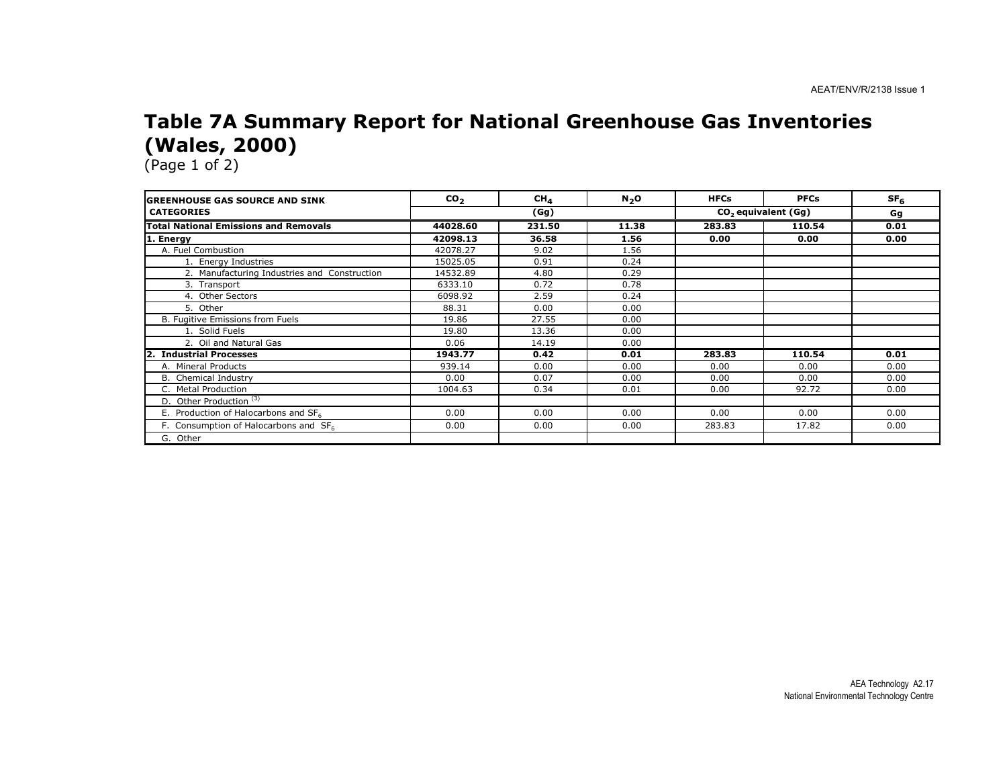### Table 7A Summary Report for National Greenhouse Gas Inventories (Wales, 2000)

| <b>GREENHOUSE GAS SOURCE AND SINK</b>             | CO <sub>2</sub> | CH <sub>4</sub> | $N_2$ O | <b>HFCs</b> | <b>PFCs</b>                     | SF <sub>6</sub> |
|---------------------------------------------------|-----------------|-----------------|---------|-------------|---------------------------------|-----------------|
| <b>CATEGORIES</b>                                 |                 | (Gg)            |         |             | CO <sub>2</sub> equivalent (Gg) |                 |
| <b>Total National Emissions and Removals</b>      | 44028.60        | 231.50          | 11.38   | 283.83      | 110.54                          | 0.01            |
| 1. Energy                                         | 42098.13        | 36.58           | 1.56    | 0.00        | 0.00                            | 0.00            |
| A. Fuel Combustion                                | 42078.27        | 9.02            | 1.56    |             |                                 |                 |
| 1. Energy Industries                              | 15025.05        | 0.91            | 0.24    |             |                                 |                 |
| 2. Manufacturing Industries and Construction      | 14532.89        | 4.80            | 0.29    |             |                                 |                 |
| 3. Transport                                      | 6333.10         | 0.72            | 0.78    |             |                                 |                 |
| 4. Other Sectors                                  | 6098.92         | 2.59            | 0.24    |             |                                 |                 |
| 5. Other                                          | 88.31           | 0.00            | 0.00    |             |                                 |                 |
| B. Fugitive Emissions from Fuels                  | 19.86           | 27.55           | 0.00    |             |                                 |                 |
| 1. Solid Fuels                                    | 19.80           | 13.36           | 0.00    |             |                                 |                 |
| 2. Oil and Natural Gas                            | 0.06            | 14.19           | 0.00    |             |                                 |                 |
| $\overline{2}$ .<br><b>Industrial Processes</b>   | 1943.77         | 0.42            | 0.01    | 283.83      | 110.54                          | 0.01            |
| A. Mineral Products                               | 939.14          | 0.00            | 0.00    | 0.00        | 0.00                            | 0.00            |
| <b>B.</b> Chemical Industry                       | 0.00            | 0.07            | 0.00    | 0.00        | 0.00                            | 0.00            |
| C. Metal Production                               | 1004.63         | 0.34            | 0.01    | 0.00        | 92.72                           | 0.00            |
| D. Other Production <sup>(3)</sup>                |                 |                 |         |             |                                 |                 |
| E. Production of Halocarbons and SF6              | 0.00            | 0.00            | 0.00    | 0.00        | 0.00                            | 0.00            |
| F. Consumption of Halocarbons and SF <sub>6</sub> | 0.00            | 0.00            | 0.00    | 283.83      | 17.82                           | 0.00            |
| G. Other                                          |                 |                 |         |             |                                 |                 |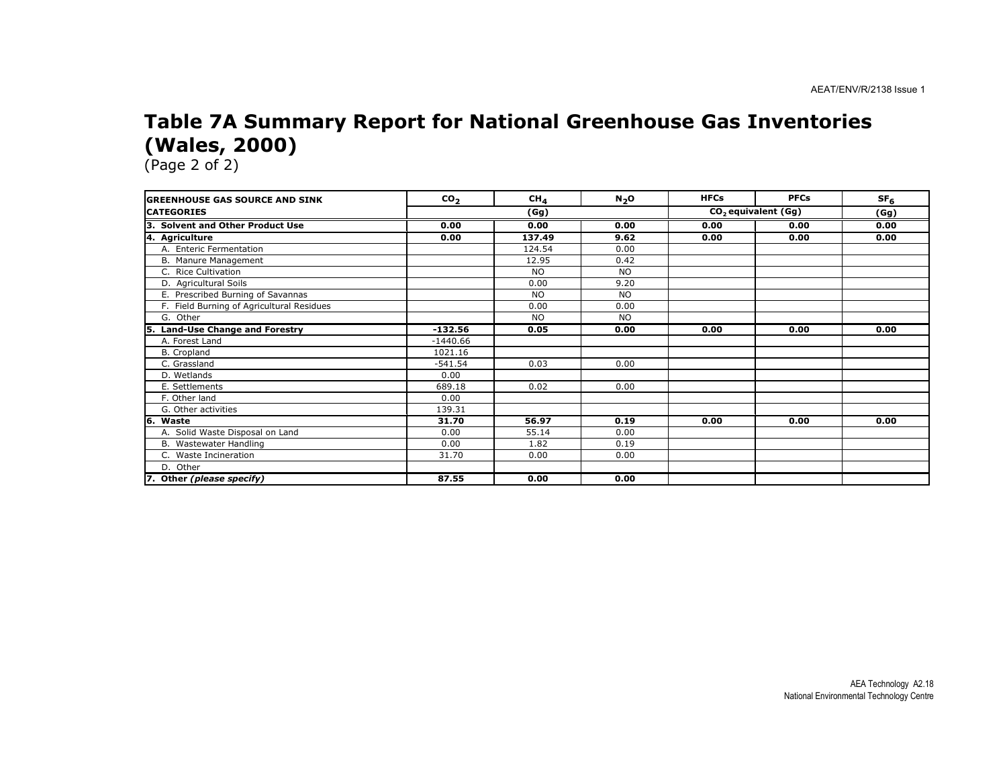### Table 7A Summary Report for National Greenhouse Gas Inventories (Wales, 2000)

(Page 2 of 2)

nia.

| <b>GREENHOUSE GAS SOURCE AND SINK</b>     | CO <sub>2</sub> | CH <sub>4</sub> | N <sub>2</sub> O | <b>HFCs</b> | <b>PFCs</b>                     | SF <sub>6</sub> |
|-------------------------------------------|-----------------|-----------------|------------------|-------------|---------------------------------|-----------------|
| <b>CATEGORIES</b>                         |                 | (Gg)            |                  |             | CO <sub>2</sub> equivalent (Gg) |                 |
| 3. Solvent and Other Product Use          | 0.00            | 0.00            | 0.00             | 0.00        | 0.00                            | 0.00            |
| 4. Agriculture                            | 0.00            | 137.49          | 9.62             | 0.00        | 0.00                            | 0.00            |
| A. Enteric Fermentation                   |                 | 124.54          | 0.00             |             |                                 |                 |
| B. Manure Management                      |                 | 12.95           | 0.42             |             |                                 |                 |
| C. Rice Cultivation                       |                 | <b>NO</b>       | <b>NO</b>        |             |                                 |                 |
| D. Agricultural Soils                     |                 | 0.00            | 9.20             |             |                                 |                 |
| E. Prescribed Burning of Savannas         |                 | <b>NO</b>       | <b>NO</b>        |             |                                 |                 |
| F. Field Burning of Agricultural Residues |                 | 0.00            | 0.00             |             |                                 |                 |
| G. Other                                  |                 | <b>NO</b>       | <b>NO</b>        |             |                                 |                 |
| 5. Land-Use Change and Forestry           | $-132.56$       | 0.05            | 0.00             | 0.00        | 0.00                            | 0.00            |
| A. Forest Land                            | $-1440.66$      |                 |                  |             |                                 |                 |
| B. Cropland                               | 1021.16         |                 |                  |             |                                 |                 |
| C. Grassland                              | $-541.54$       | 0.03            | 0.00             |             |                                 |                 |
| D. Wetlands                               | 0.00            |                 |                  |             |                                 |                 |
| E. Settlements                            | 689.18          | 0.02            | 0.00             |             |                                 |                 |
| F. Other land                             | 0.00            |                 |                  |             |                                 |                 |
| G. Other activities                       | 139.31          |                 |                  |             |                                 |                 |
| 6. Waste                                  | 31.70           | 56.97           | 0.19             | 0.00        | 0.00                            | 0.00            |
| A. Solid Waste Disposal on Land           | 0.00            | 55.14           | 0.00             |             |                                 |                 |
| B. Wastewater Handling                    | 0.00            | 1.82            | 0.19             |             |                                 |                 |
| C. Waste Incineration                     | 31.70           | 0.00            | 0.00             |             |                                 |                 |
| D. Other                                  |                 |                 |                  |             |                                 |                 |
| 7. Other (please specify)                 | 87.55           | 0.00            | 0.00             |             |                                 |                 |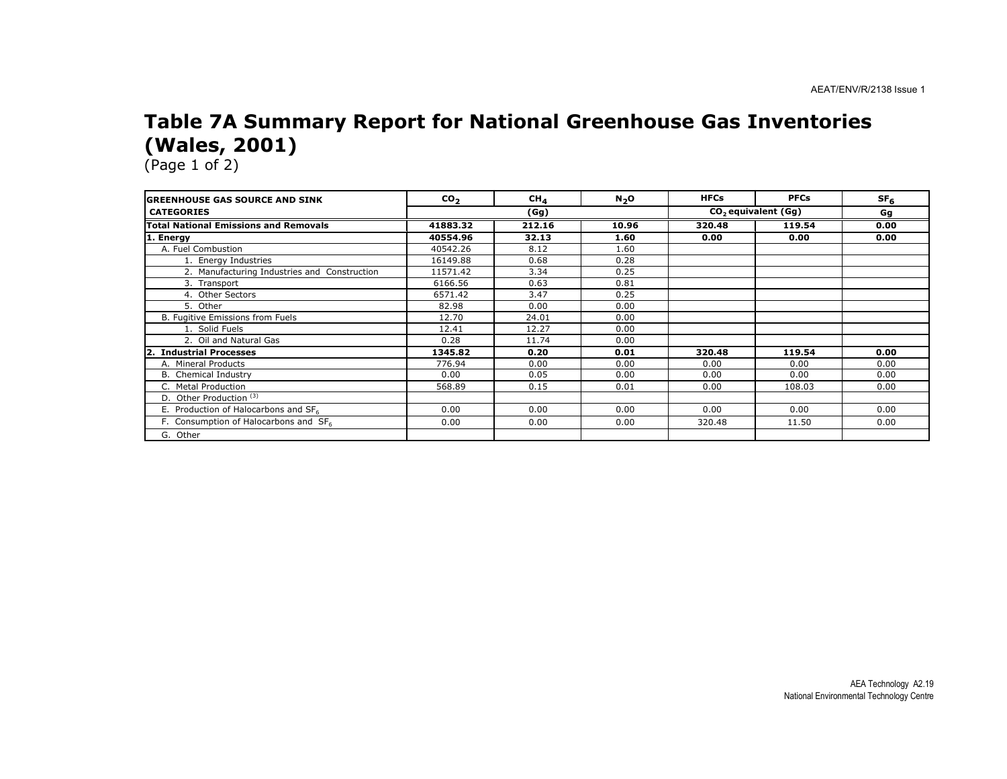### Table 7A Summary Report for National Greenhouse Gas Inventories (Wales, 2001)

| <b>GREENHOUSE GAS SOURCE AND SINK</b>            | CO <sub>2</sub> | CH <sub>4</sub> | $N2$ O | <b>HFCs</b> | <b>PFCs</b>                     | SF <sub>6</sub> |
|--------------------------------------------------|-----------------|-----------------|--------|-------------|---------------------------------|-----------------|
| <b>CATEGORIES</b>                                |                 | (Gg)            |        |             | CO <sub>2</sub> equivalent (Gg) |                 |
| <b>Total National Emissions and Removals</b>     | 41883.32        | 212.16          | 10.96  | 320.48      | 119.54                          | 0.00            |
| 1. Energy                                        | 40554.96        | 32.13           | 1.60   | 0.00        | 0.00                            | 0.00            |
| A. Fuel Combustion                               | 40542.26        | 8.12            | 1.60   |             |                                 |                 |
| 1. Energy Industries                             | 16149.88        | 0.68            | 0.28   |             |                                 |                 |
| 2. Manufacturing Industries and Construction     | 11571.42        | 3.34            | 0.25   |             |                                 |                 |
| 3. Transport                                     | 6166.56         | 0.63            | 0.81   |             |                                 |                 |
| 4. Other Sectors                                 | 6571.42         | 3.47            | 0.25   |             |                                 |                 |
| 5. Other                                         | 82.98           | 0.00            | 0.00   |             |                                 |                 |
| B. Fugitive Emissions from Fuels                 | 12.70           | 24.01           | 0.00   |             |                                 |                 |
| 1. Solid Fuels                                   | 12.41           | 12.27           | 0.00   |             |                                 |                 |
| 2. Oil and Natural Gas                           | 0.28            | 11.74           | 0.00   |             |                                 |                 |
| 2. Industrial Processes                          | 1345.82         | 0.20            | 0.01   | 320.48      | 119.54                          | 0.00            |
| A. Mineral Products                              | 776.94          | 0.00            | 0.00   | 0.00        | 0.00                            | 0.00            |
| <b>B.</b> Chemical Industry                      | 0.00            | 0.05            | 0.00   | 0.00        | 0.00                            | 0.00            |
| C. Metal Production                              | 568.89          | 0.15            | 0.01   | 0.00        | 108.03                          | 0.00            |
| D. Other Production <sup>(3)</sup>               |                 |                 |        |             |                                 |                 |
| E. Production of Halocarbons and SF <sub>6</sub> | 0.00            | 0.00            | 0.00   | 0.00        | 0.00                            | 0.00            |
| F. Consumption of Halocarbons and SF6            | 0.00            | 0.00            | 0.00   | 320.48      | 11.50                           | 0.00            |
| G. Other                                         |                 |                 |        |             |                                 |                 |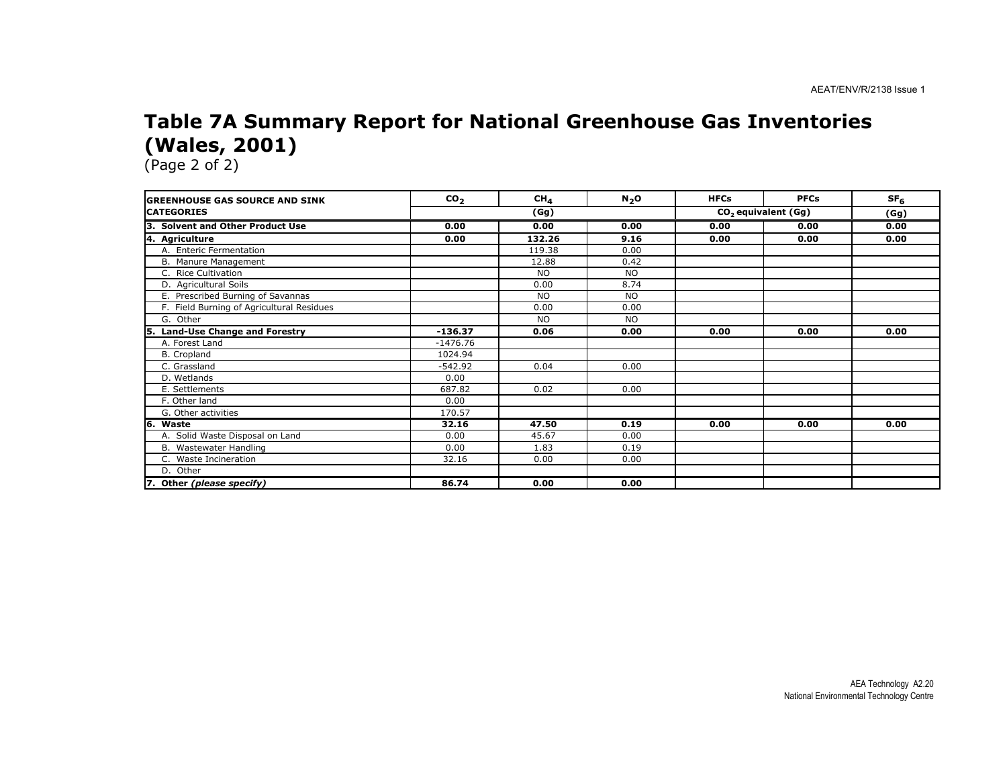### Table 7A Summary Report for National Greenhouse Gas Inventories (Wales, 2001)

| <b>GREENHOUSE GAS SOURCE AND SINK</b>       | CO <sub>2</sub> | CH <sub>4</sub> | N <sub>2</sub> O | <b>HFCs</b> | <b>PFCs</b>                     | SF <sub>6</sub> |
|---------------------------------------------|-----------------|-----------------|------------------|-------------|---------------------------------|-----------------|
| <b>CATEGORIES</b>                           | (Gg)            |                 |                  |             | CO <sub>2</sub> equivalent (Gg) |                 |
| Iз.<br><b>Solvent and Other Product Use</b> | 0.00            | 0.00            | 0.00             | 0.00        | 0.00                            | 0.00            |
| 4. Agriculture                              | 0.00            | 132.26          | 9.16             | 0.00        | 0.00                            | 0.00            |
| A. Enteric Fermentation                     |                 | 119.38          | 0.00             |             |                                 |                 |
| B. Manure Management                        |                 | 12.88           | 0.42             |             |                                 |                 |
| C. Rice Cultivation                         |                 | <b>NO</b>       | <b>NO</b>        |             |                                 |                 |
| D. Agricultural Soils                       |                 | 0.00            | 8.74             |             |                                 |                 |
| E. Prescribed Burning of Savannas           |                 | <b>NO</b>       | <b>NO</b>        |             |                                 |                 |
| F. Field Burning of Agricultural Residues   |                 | 0.00            | 0.00             |             |                                 |                 |
| G. Other                                    |                 | <b>NO</b>       | <b>NO</b>        |             |                                 |                 |
| 5. Land-Use Change and Forestry             | $-136.37$       | 0.06            | 0.00             | 0.00        | 0.00                            | 0.00            |
| A. Forest Land                              | $-1476.76$      |                 |                  |             |                                 |                 |
| B. Cropland                                 | 1024.94         |                 |                  |             |                                 |                 |
| C. Grassland                                | $-542.92$       | 0.04            | 0.00             |             |                                 |                 |
| D. Wetlands                                 | 0.00            |                 |                  |             |                                 |                 |
| E. Settlements                              | 687.82          | 0.02            | 0.00             |             |                                 |                 |
| F. Other land                               | 0.00            |                 |                  |             |                                 |                 |
| G. Other activities                         | 170.57          |                 |                  |             |                                 |                 |
| 6. Waste                                    | 32.16           | 47.50           | 0.19             | 0.00        | 0.00                            | 0.00            |
| A. Solid Waste Disposal on Land             | 0.00            | 45.67           | 0.00             |             |                                 |                 |
| B. Wastewater Handling                      | 0.00            | 1.83            | 0.19             |             |                                 |                 |
| C. Waste Incineration                       | 32.16           | 0.00            | 0.00             |             |                                 |                 |
| D. Other                                    |                 |                 |                  |             |                                 |                 |
| 7. Other (please specify)                   | 86.74           | 0.00            | 0.00             |             |                                 |                 |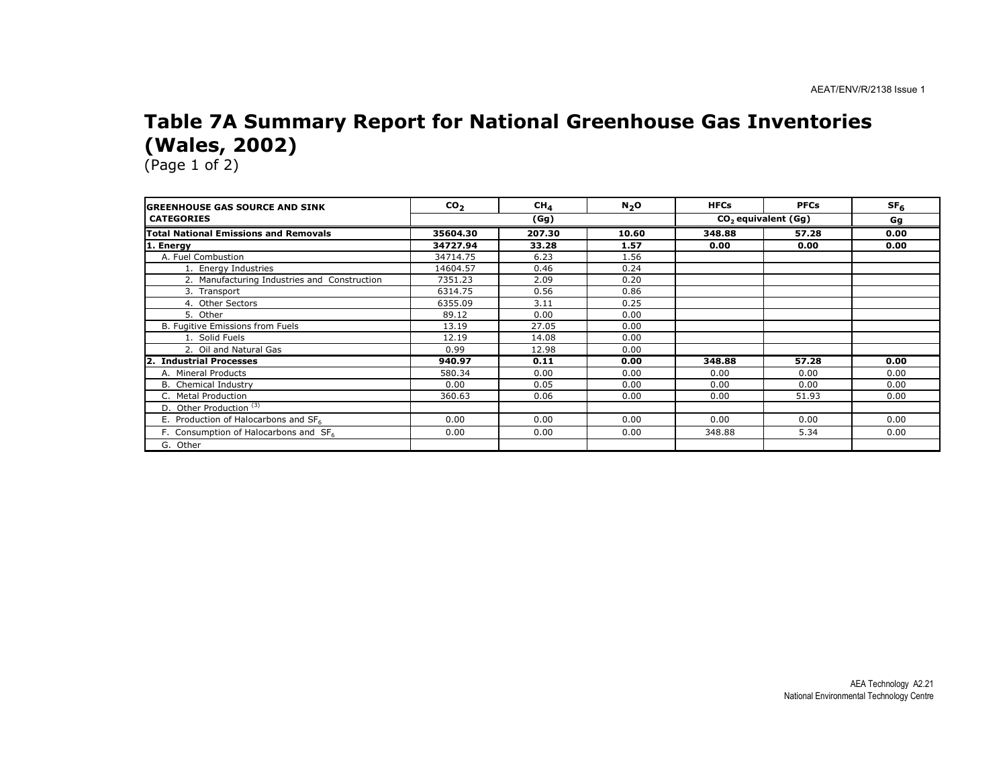### Table 7A Summary Report for National Greenhouse Gas Inventories (Wales, 2002)

| <b>GREENHOUSE GAS SOURCE AND SINK</b>        | CO <sub>2</sub> | CH <sub>A</sub> | $N_2$ O | <b>HFCs</b> | <b>PFCs</b>                     | SF <sub>6</sub> |
|----------------------------------------------|-----------------|-----------------|---------|-------------|---------------------------------|-----------------|
| <b>CATEGORIES</b>                            |                 | (Gg)            |         |             | CO <sub>2</sub> equivalent (Gg) |                 |
| <b>Total National Emissions and Removals</b> | 35604.30        | 207.30          | 10.60   | 348.88      | 57.28                           | 0.00            |
| 1. Energy                                    | 34727.94        | 33.28           | 1.57    | 0.00        | 0.00                            | 0.00            |
| A. Fuel Combustion                           | 34714.75        | 6.23            | 1.56    |             |                                 |                 |
| 1. Energy Industries                         | 14604.57        | 0.46            | 0.24    |             |                                 |                 |
| 2. Manufacturing Industries and Construction | 7351.23         | 2.09            | 0.20    |             |                                 |                 |
| 3. Transport                                 | 6314.75         | 0.56            | 0.86    |             |                                 |                 |
| 4. Other Sectors                             | 6355.09         | 3.11            | 0.25    |             |                                 |                 |
| 5. Other                                     | 89.12           | 0.00            | 0.00    |             |                                 |                 |
| B. Fugitive Emissions from Fuels             | 13.19           | 27.05           | 0.00    |             |                                 |                 |
| 1. Solid Fuels                               | 12.19           | 14.08           | 0.00    |             |                                 |                 |
| 2. Oil and Natural Gas                       | 0.99            | 12.98           | 0.00    |             |                                 |                 |
| $\mathbf{2}$<br><b>Industrial Processes</b>  | 940.97          | 0.11            | 0.00    | 348.88      | 57.28                           | 0.00            |
| A. Mineral Products                          | 580.34          | 0.00            | 0.00    | 0.00        | 0.00                            | 0.00            |
| <b>B.</b> Chemical Industry                  | 0.00            | 0.05            | 0.00    | 0.00        | 0.00                            | 0.00            |
| C. Metal Production                          | 360.63          | 0.06            | 0.00    | 0.00        | 51.93                           | 0.00            |
| D. Other Production <sup>(3)</sup>           |                 |                 |         |             |                                 |                 |
| E. Production of Halocarbons and SF6         | 0.00            | 0.00            | 0.00    | 0.00        | 0.00                            | 0.00            |
| F. Consumption of Halocarbons and $SF6$      | 0.00            | 0.00            | 0.00    | 348.88      | 5.34                            | 0.00            |
| G. Other                                     |                 |                 |         |             |                                 |                 |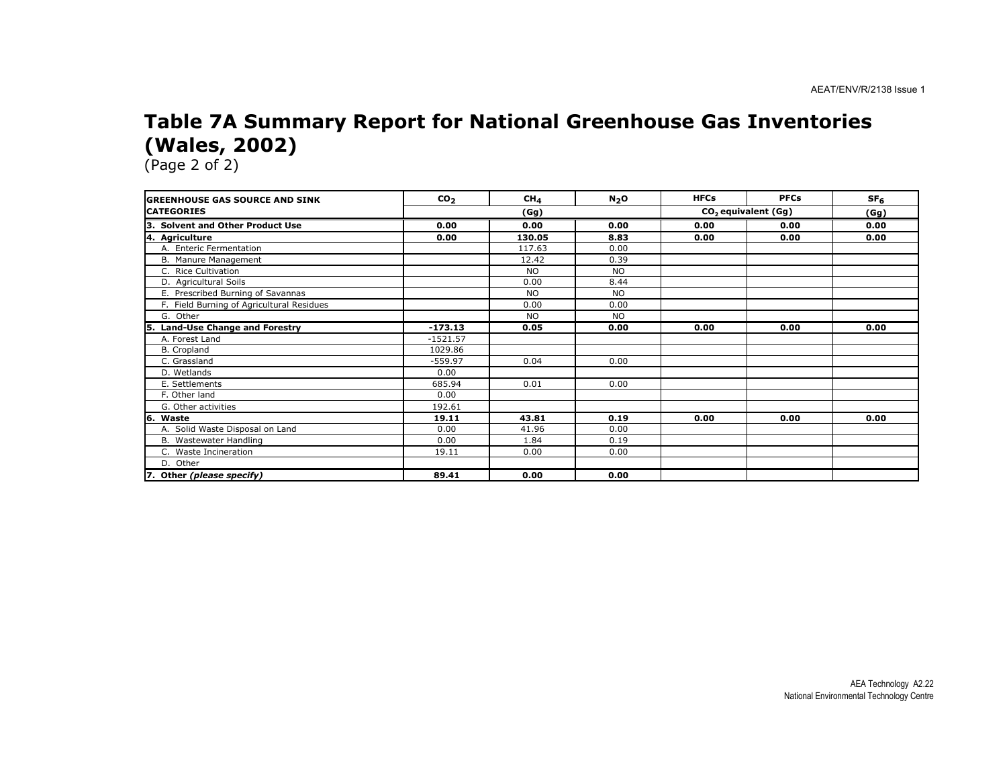#### Table 7A Summary Report for National Greenhouse Gas Inventories (Wales, 2002)

| <b>IGREENHOUSE GAS SOURCE AND SINK</b>     | CO <sub>2</sub> | CH <sub>4</sub> | N <sub>2</sub> O | <b>HFCs</b> | <b>PFCs</b>                     | SF <sub>6</sub> |
|--------------------------------------------|-----------------|-----------------|------------------|-------------|---------------------------------|-----------------|
| <b>CATEGORIES</b>                          | (Gg)            |                 |                  |             | CO <sub>2</sub> equivalent (Gg) |                 |
| 3. Solvent and Other Product Use           | 0.00            | 0.00            | 0.00             | 0.00        | 0.00                            | 0.00            |
| 4. Agriculture                             | 0.00            | 130.05          | 8.83             | 0.00        | 0.00                            | 0.00            |
| A. Enteric Fermentation                    |                 | 117.63          | 0.00             |             |                                 |                 |
| B. Manure Management                       |                 | 12.42           | 0.39             |             |                                 |                 |
| C. Rice Cultivation                        |                 | <b>NO</b>       | <b>NO</b>        |             |                                 |                 |
| D. Agricultural Soils                      |                 | 0.00            | 8.44             |             |                                 |                 |
| E. Prescribed Burning of Savannas          |                 | <b>NO</b>       | <b>NO</b>        |             |                                 |                 |
| F. Field Burning of Agricultural Residues  |                 | 0.00            | 0.00             |             |                                 |                 |
| G. Other                                   |                 | <b>NO</b>       | <b>NO</b>        |             |                                 |                 |
| <b>Land-Use Change and Forestry</b><br>15. | $-173.13$       | 0.05            | 0.00             | 0.00        | 0.00                            | 0.00            |
| A. Forest Land                             | $-1521.57$      |                 |                  |             |                                 |                 |
| B. Cropland                                | 1029.86         |                 |                  |             |                                 |                 |
| C. Grassland                               | $-559.97$       | 0.04            | 0.00             |             |                                 |                 |
| D. Wetlands                                | 0.00            |                 |                  |             |                                 |                 |
| E. Settlements                             | 685.94          | 0.01            | 0.00             |             |                                 |                 |
| F. Other land                              | 0.00            |                 |                  |             |                                 |                 |
| G. Other activities                        | 192.61          |                 |                  |             |                                 |                 |
| 6. Waste                                   | 19.11           | 43.81           | 0.19             | 0.00        | 0.00                            | 0.00            |
| A. Solid Waste Disposal on Land            | 0.00            | 41.96           | 0.00             |             |                                 |                 |
| B. Wastewater Handling                     | 0.00            | 1.84            | 0.19             |             |                                 |                 |
| C. Waste Incineration                      | 19.11           | 0.00            | 0.00             |             |                                 |                 |
| D. Other                                   |                 |                 |                  |             |                                 |                 |
| 7. Other (please specify)                  | 89.41           | 0.00            | 0.00             |             |                                 |                 |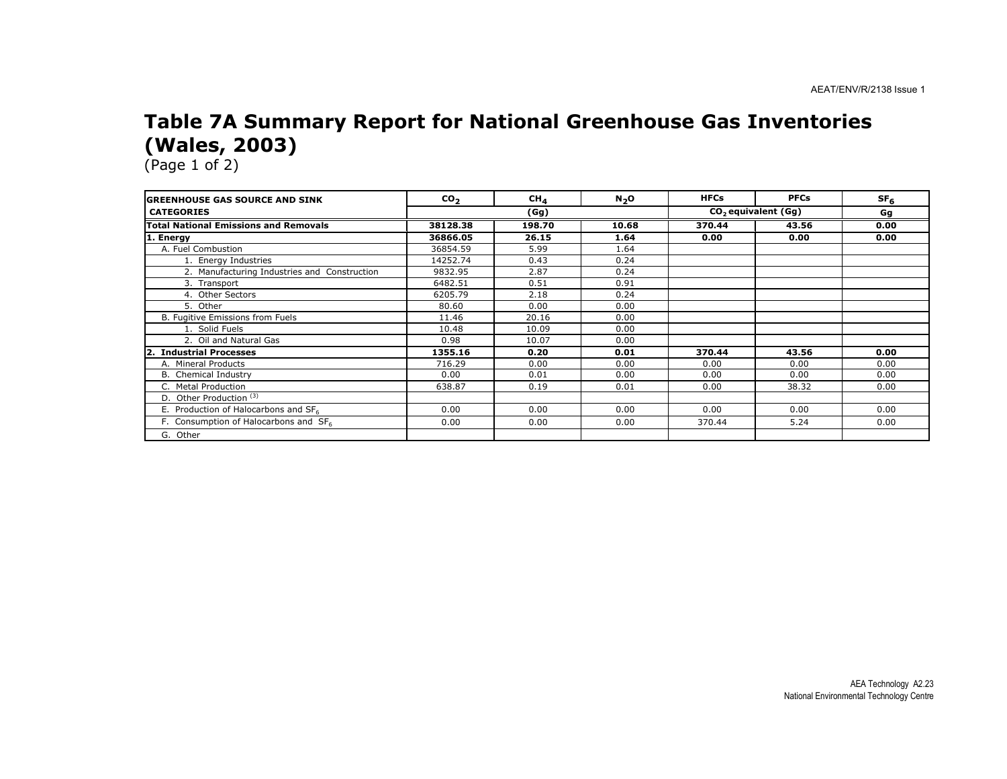### Table 7A Summary Report for National Greenhouse Gas Inventories (Wales, 2003)

| <b>GREENHOUSE GAS SOURCE AND SINK</b>            | CO <sub>2</sub> | CH <sub>A</sub> | N <sub>2</sub> O | <b>HFCs</b> | <b>PFCs</b>                     | SF <sub>6</sub> |
|--------------------------------------------------|-----------------|-----------------|------------------|-------------|---------------------------------|-----------------|
| <b>CATEGORIES</b>                                |                 | (Gg)            |                  |             | CO <sub>2</sub> equivalent (Gg) |                 |
| <b>Total National Emissions and Removals</b>     | 38128.38        | 198.70          | 10.68            | 370.44      | 43.56                           | 0.00            |
| 1. Energy                                        | 36866.05        | 26.15           | 1.64             | 0.00        | 0.00                            | 0.00            |
| A. Fuel Combustion                               | 36854.59        | 5.99            | 1.64             |             |                                 |                 |
| 1. Energy Industries                             | 14252.74        | 0.43            | 0.24             |             |                                 |                 |
| 2. Manufacturing Industries and Construction     | 9832.95         | 2.87            | 0.24             |             |                                 |                 |
| 3. Transport                                     | 6482.51         | 0.51            | 0.91             |             |                                 |                 |
| 4. Other Sectors                                 | 6205.79         | 2.18            | 0.24             |             |                                 |                 |
| 5. Other                                         | 80.60           | 0.00            | 0.00             |             |                                 |                 |
| B. Fugitive Emissions from Fuels                 | 11.46           | 20.16           | 0.00             |             |                                 |                 |
| 1. Solid Fuels                                   | 10.48           | 10.09           | 0.00             |             |                                 |                 |
| 2. Oil and Natural Gas                           | 0.98            | 10.07           | 0.00             |             |                                 |                 |
| <b>Industrial Processes</b><br>2                 | 1355.16         | 0.20            | 0.01             | 370.44      | 43.56                           | 0.00            |
| A. Mineral Products                              | 716.29          | 0.00            | 0.00             | 0.00        | 0.00                            | 0.00            |
| <b>B.</b> Chemical Industry                      | 0.00            | 0.01            | 0.00             | 0.00        | 0.00                            | 0.00            |
| C. Metal Production                              | 638.87          | 0.19            | 0.01             | 0.00        | 38.32                           | 0.00            |
| D. Other Production <sup>(3)</sup>               |                 |                 |                  |             |                                 |                 |
| E. Production of Halocarbons and SF <sub>6</sub> | 0.00            | 0.00            | 0.00             | 0.00        | 0.00                            | 0.00            |
| F. Consumption of Halocarbons and SF6            | 0.00            | 0.00            | 0.00             | 370.44      | 5.24                            | 0.00            |
| G. Other                                         |                 |                 |                  |             |                                 |                 |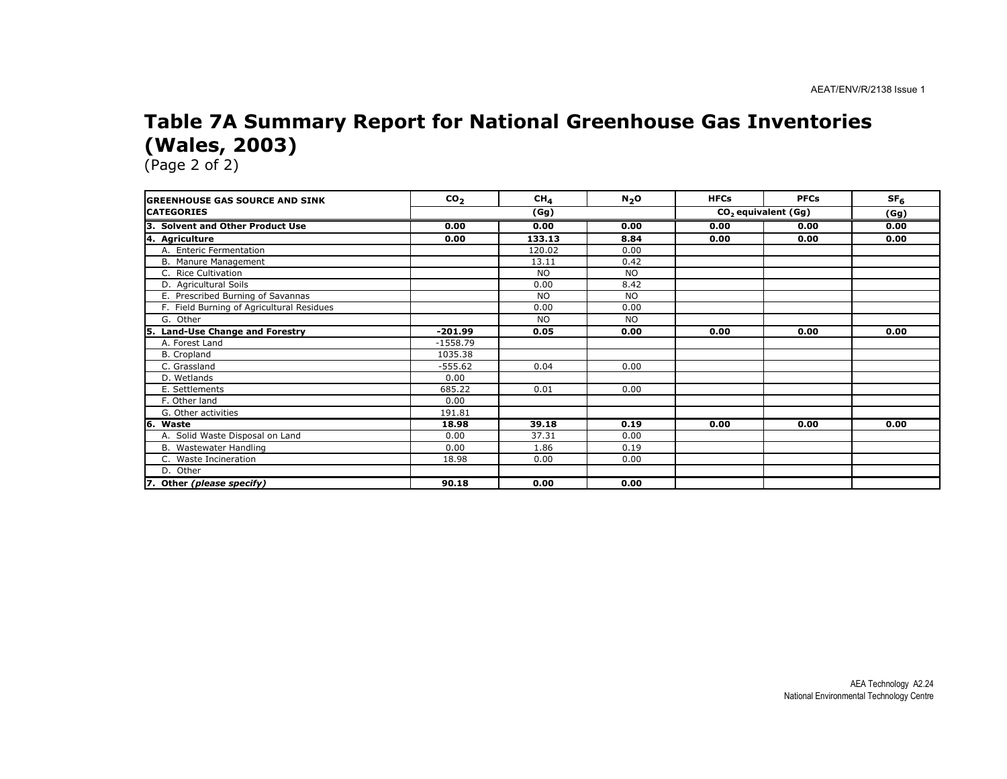### Table 7A Summary Report for National Greenhouse Gas Inventories (Wales, 2003)

| <b>GREENHOUSE GAS SOURCE AND SINK</b>     | CO <sub>2</sub> | CH <sub>4</sub> | N <sub>2</sub> O | <b>HFCs</b> | <b>PFCs</b>                     | SF <sub>6</sub> |
|-------------------------------------------|-----------------|-----------------|------------------|-------------|---------------------------------|-----------------|
| <b>CATEGORIES</b>                         | (Gg)            |                 |                  |             | CO <sub>2</sub> equivalent (Gg) |                 |
| 3. Solvent and Other Product Use          | 0.00            | 0.00            | 0.00             | 0.00        | 0.00                            | 0.00            |
| 4. Agriculture                            | 0.00            | 133.13          | 8.84             | 0.00        | 0.00                            | 0.00            |
| A. Enteric Fermentation                   |                 | 120.02          | 0.00             |             |                                 |                 |
| B. Manure Management                      |                 | 13.11           | 0.42             |             |                                 |                 |
| C. Rice Cultivation                       |                 | <b>NO</b>       | <b>NO</b>        |             |                                 |                 |
| D. Agricultural Soils                     |                 | 0.00            | 8.42             |             |                                 |                 |
| E. Prescribed Burning of Savannas         |                 | <b>NO</b>       | <b>NO</b>        |             |                                 |                 |
| F. Field Burning of Agricultural Residues |                 | 0.00            | 0.00             |             |                                 |                 |
| G. Other                                  |                 | <b>NO</b>       | <b>NO</b>        |             |                                 |                 |
| 5. Land-Use Change and Forestry           | $-201.99$       | 0.05            | 0.00             | 0.00        | 0.00                            | 0.00            |
| A. Forest Land                            | $-1558.79$      |                 |                  |             |                                 |                 |
| B. Cropland                               | 1035.38         |                 |                  |             |                                 |                 |
| C. Grassland                              | $-555.62$       | 0.04            | 0.00             |             |                                 |                 |
| D. Wetlands                               | 0.00            |                 |                  |             |                                 |                 |
| E. Settlements                            | 685.22          | 0.01            | 0.00             |             |                                 |                 |
| F. Other land                             | 0.00            |                 |                  |             |                                 |                 |
| G. Other activities                       | 191.81          |                 |                  |             |                                 |                 |
| 6. Waste                                  | 18.98           | 39.18           | 0.19             | 0.00        | 0.00                            | 0.00            |
| A. Solid Waste Disposal on Land           | 0.00            | 37.31           | 0.00             |             |                                 |                 |
| B. Wastewater Handling                    | 0.00            | 1.86            | 0.19             |             |                                 |                 |
| C. Waste Incineration                     | 18.98           | 0.00            | 0.00             |             |                                 |                 |
| D. Other                                  |                 |                 |                  |             |                                 |                 |
| 7. Other (please specify)                 | 90.18           | 0.00            | 0.00             |             |                                 |                 |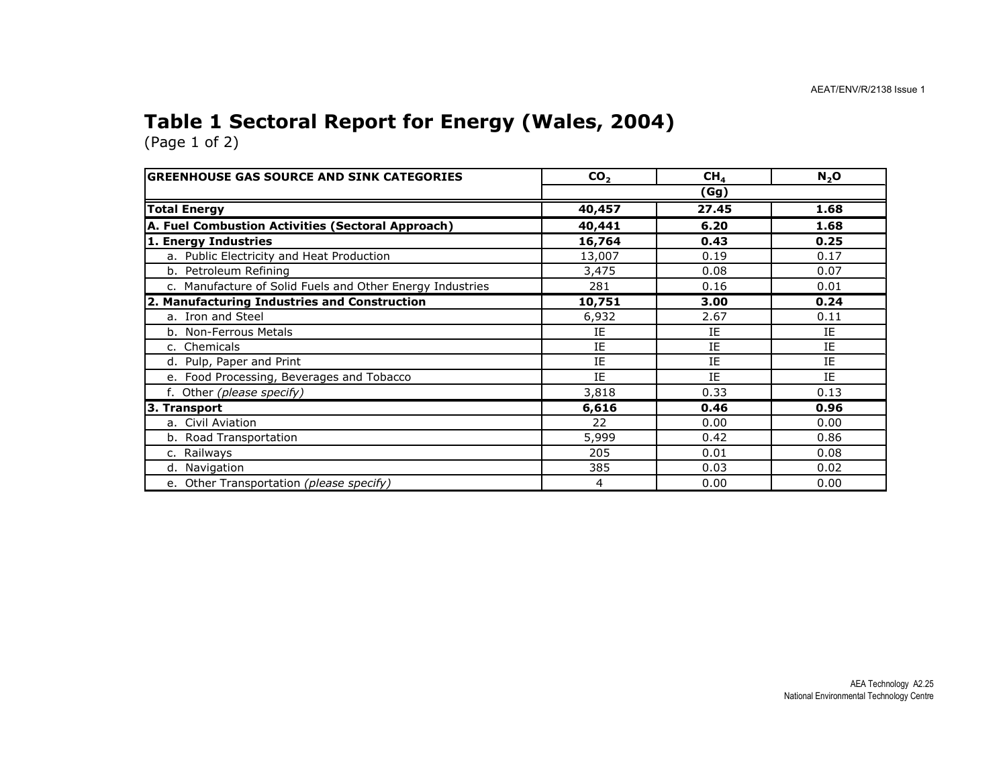### Table 1 Sectoral Report for Energy (Wales, 2004)

| <b>GREENHOUSE GAS SOURCE AND SINK CATEGORIES</b>          | CO <sub>2</sub> | CH <sub>4</sub> | N <sub>2</sub> O |  |  |  |
|-----------------------------------------------------------|-----------------|-----------------|------------------|--|--|--|
|                                                           | (Gg)            |                 |                  |  |  |  |
| <b>Total Energy</b>                                       | 40,457          | 27.45           | 1.68             |  |  |  |
| A. Fuel Combustion Activities (Sectoral Approach)         | 40,441          | 6.20            | 1.68             |  |  |  |
| 1. Energy Industries                                      | 16,764          | 0.43            | 0.25             |  |  |  |
| a. Public Electricity and Heat Production                 | 13,007          | 0.19            | 0.17             |  |  |  |
| b. Petroleum Refining                                     | 3,475           | 0.08            | 0.07             |  |  |  |
| c. Manufacture of Solid Fuels and Other Energy Industries | 281             | 0.16            | 0.01             |  |  |  |
| 2. Manufacturing Industries and Construction              | 10,751          | 3.00            | 0.24             |  |  |  |
| a. Iron and Steel                                         | 6,932           | 2.67            | 0.11             |  |  |  |
| b. Non-Ferrous Metals                                     | IE              | IE              | IE               |  |  |  |
| c. Chemicals                                              | IE              | IE              | IE               |  |  |  |
| d. Pulp, Paper and Print                                  | IE              | IE              | IE               |  |  |  |
| e. Food Processing, Beverages and Tobacco                 | IE              | IE              | IE               |  |  |  |
| f. Other (please specify)                                 | 3,818           | 0.33            | 0.13             |  |  |  |
| 3. Transport                                              | 6,616           | 0.46            | 0.96             |  |  |  |
| a. Civil Aviation                                         | 22              | 0.00            | 0.00             |  |  |  |
| b. Road Transportation                                    | 5,999           | 0.42            | 0.86             |  |  |  |
| c. Railways                                               | 205             | 0.01            | 0.08             |  |  |  |
| d. Navigation                                             | 385             | 0.03            | 0.02             |  |  |  |
| e. Other Transportation (please specify)                  | 4               | 0.00            | 0.00             |  |  |  |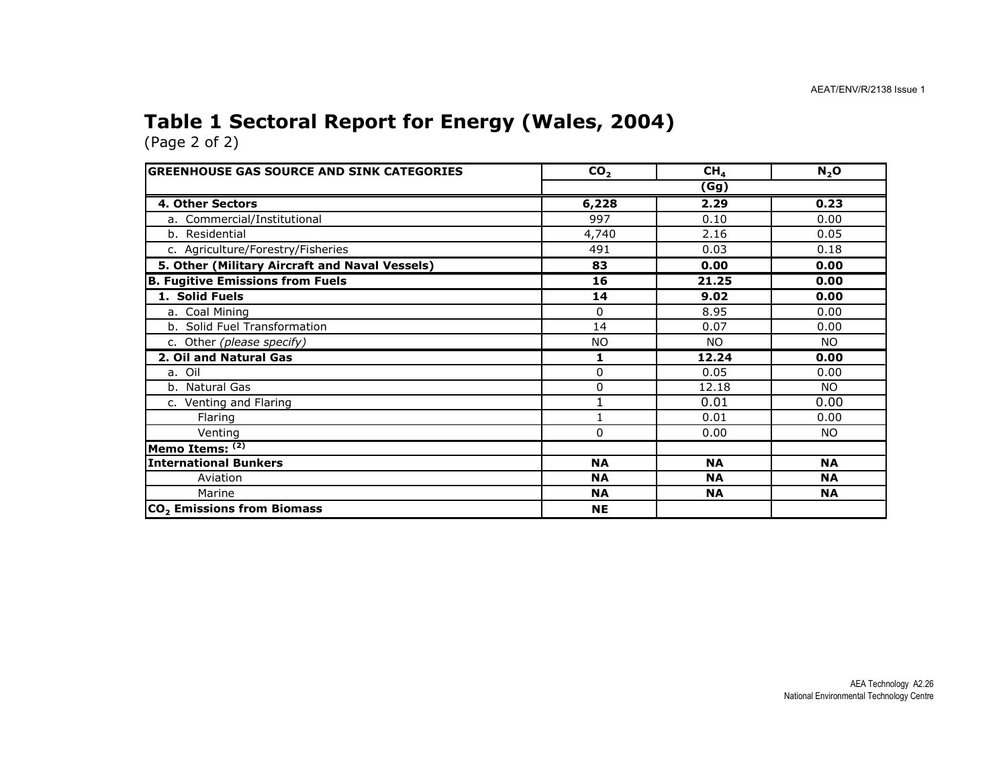## Table 1 Sectoral Report for Energy (Wales, 2004)

(Page 2 of 2)

| <b>GREENHOUSE GAS SOURCE AND SINK CATEGORIES</b> | CO <sub>2</sub> | CH <sub>4</sub> | N <sub>2</sub> O |  |  |  |
|--------------------------------------------------|-----------------|-----------------|------------------|--|--|--|
|                                                  | (Gg)            |                 |                  |  |  |  |
| <b>4. Other Sectors</b>                          | 6,228           | 2.29            | 0.23             |  |  |  |
| a. Commercial/Institutional                      | 997             | 0.10            | 0.00             |  |  |  |
| b. Residential                                   | 4,740           | 2.16            | 0.05             |  |  |  |
| c. Agriculture/Forestry/Fisheries                | 491             | 0.03            | 0.18             |  |  |  |
| 5. Other (Military Aircraft and Naval Vessels)   | 83              | 0.00            | 0.00             |  |  |  |
| <b>B. Fugitive Emissions from Fuels</b>          | 16              | 21.25           | 0.00             |  |  |  |
| 1. Solid Fuels                                   | 14              | 9.02            | 0.00             |  |  |  |
| a. Coal Mining                                   | 0               | 8.95            | 0.00             |  |  |  |
| b. Solid Fuel Transformation                     | 14              | 0.07            | 0.00             |  |  |  |
| c. Other (please specify)                        | <b>NO</b>       | <b>NO</b>       | <b>NO</b>        |  |  |  |
| 2. Oil and Natural Gas                           | 1               | 12.24           | 0.00             |  |  |  |
| a. Oil                                           | 0               | 0.05            | 0.00             |  |  |  |
| b. Natural Gas                                   | 0               | 12.18           | NO.              |  |  |  |
| c. Venting and Flaring                           |                 | 0.01            | 0.00             |  |  |  |
| Flaring                                          |                 | 0.01            | 0.00             |  |  |  |
| Venting                                          | 0               | 0.00            | NO.              |  |  |  |
| Memo Items: (2)                                  |                 |                 |                  |  |  |  |
| International Bunkers                            | <b>NA</b>       | <b>NA</b>       | <b>NA</b>        |  |  |  |
| Aviation                                         | <b>NA</b>       | <b>NA</b>       | <b>NA</b>        |  |  |  |
| Marine                                           | <b>NA</b>       | <b>NA</b>       | <b>NA</b>        |  |  |  |
| CO <sub>2</sub> Emissions from Biomass           | <b>NE</b>       |                 |                  |  |  |  |

AEA Technology A2.26 National Environmental Technology Centre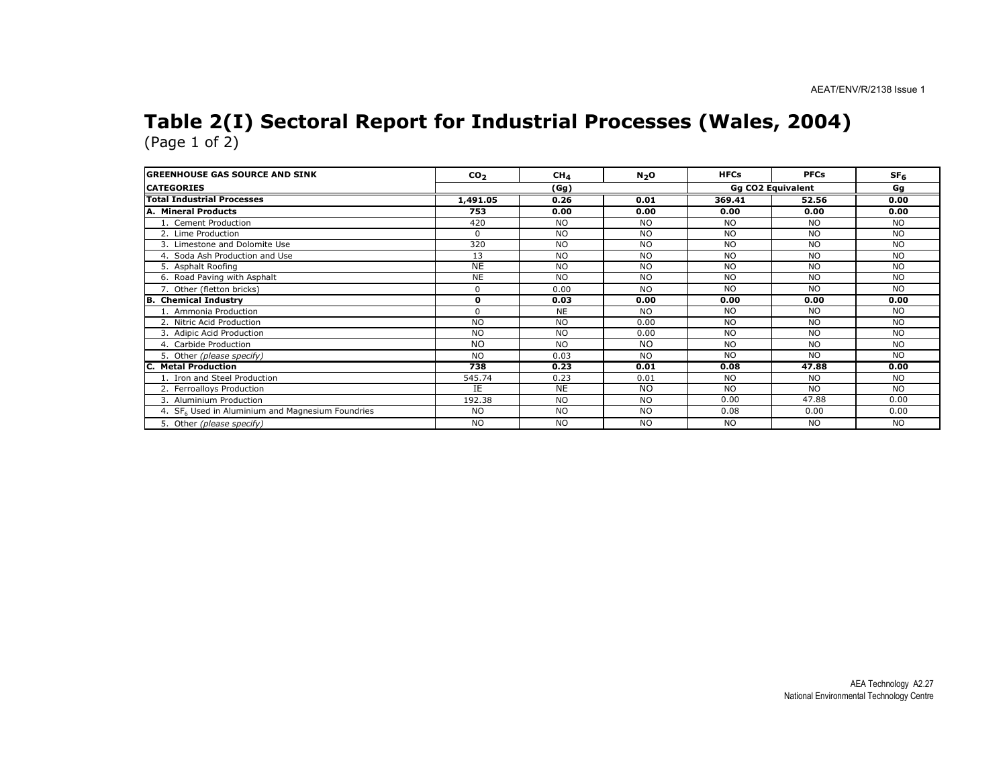# Table 2(I) Sectoral Report for Industrial Processes (Wales, 2004) (Page 1 of 2)

| <b>GREENHOUSE GAS SOURCE AND SINK</b>                        | CO <sub>2</sub> | CH <sub>4</sub> | N <sub>2</sub> O | <b>HFCs</b>              | <b>PFCs</b>    | SF <sub>6</sub> |
|--------------------------------------------------------------|-----------------|-----------------|------------------|--------------------------|----------------|-----------------|
| <b>CATEGORIES</b>                                            | (Gg)            |                 |                  | <b>Gg CO2 Equivalent</b> |                |                 |
| <b>Total Industrial Processes</b>                            | 1,491.05        | 0.26            | 0.01             | 369.41                   | 52.56          | 0.00            |
| A. Mineral Products                                          | 753             | 0.00            | 0.00             | 0.00                     | 0.00           | 0.00            |
| 1. Cement Production                                         | 420             | <b>NO</b>       | <b>NO</b>        | <b>NO</b>                | <b>NO</b>      | <b>NO</b>       |
| 2. Lime Production                                           | $\Omega$        | <b>NO</b>       | <b>NO</b>        | <b>NO</b>                | <b>NO</b>      | <b>NO</b>       |
| 3. Limestone and Dolomite Use                                | 320             | <b>NO</b>       | <b>NO</b>        | <b>NO</b>                | <b>NO</b>      | <b>NO</b>       |
| 4. Soda Ash Production and Use                               | 13              | <b>NO</b>       | <b>NO</b>        | <b>NO</b>                | <b>NO</b>      | <b>NO</b>       |
| 5. Asphalt Roofing                                           | <b>NE</b>       | <b>NO</b>       | <b>NO</b>        | <b>NO</b>                | <b>NO</b>      | <b>NO</b>       |
| 6. Road Paving with Asphalt                                  | <b>NE</b>       | <b>NO</b>       | <b>NO</b>        | <b>NO</b>                | N <sub>O</sub> | <b>NO</b>       |
| 7. Other (fletton bricks)                                    | $\Omega$        | 0.00            | <b>NO</b>        | <b>NO</b>                | N <sub>O</sub> | <b>NO</b>       |
| <b>B.</b> Chemical Industry                                  | $\mathbf{0}$    | 0.03            | 0.00             | 0.00                     | 0.00           | 0.00            |
| 1. Ammonia Production                                        | $\Omega$        | <b>NE</b>       | <b>NO</b>        | <b>NO</b>                | NO.            | <b>NO</b>       |
| 2. Nitric Acid Production                                    | <b>NO</b>       | <b>NO</b>       | 0.00             | <b>NO</b>                | <b>NO</b>      | <b>NO</b>       |
| 3. Adipic Acid Production                                    | <b>NO</b>       | <b>NO</b>       | 0.00             | <b>NO</b>                | <b>NO</b>      | <b>NO</b>       |
| 4. Carbide Production                                        | <b>NO</b>       | <b>NO</b>       | <b>NO</b>        | <b>NO</b>                | <b>NO</b>      | <b>NO</b>       |
| 5. Other (please specify)                                    | <b>NO</b>       | 0.03            | <b>NO</b>        | <b>NO</b>                | NO.            | <b>NO</b>       |
| <b>C. Metal Production</b>                                   | 738             | 0.23            | 0.01             | 0.08                     | 47.88          | 0.00            |
| 1. Iron and Steel Production                                 | 545.74          | 0.23            | 0.01             | <b>NO</b>                | <b>NO</b>      | <b>NO</b>       |
| 2. Ferroalloys Production                                    | IE              | <b>NE</b>       | <b>NO</b>        | <b>NO</b>                | <b>NO</b>      | <b>NO</b>       |
| 3. Aluminium Production                                      | 192.38          | <b>NO</b>       | <b>NO</b>        | 0.00                     | 47.88          | 0.00            |
| 4. SF <sub>6</sub> Used in Aluminium and Magnesium Foundries | <b>NO</b>       | <b>NO</b>       | <b>NO</b>        | 0.08                     | 0.00           | 0.00            |
| 5. Other (please specify)                                    | <b>NO</b>       | <b>NO</b>       | <b>NO</b>        | <b>NO</b>                | <b>NO</b>      | <b>NO</b>       |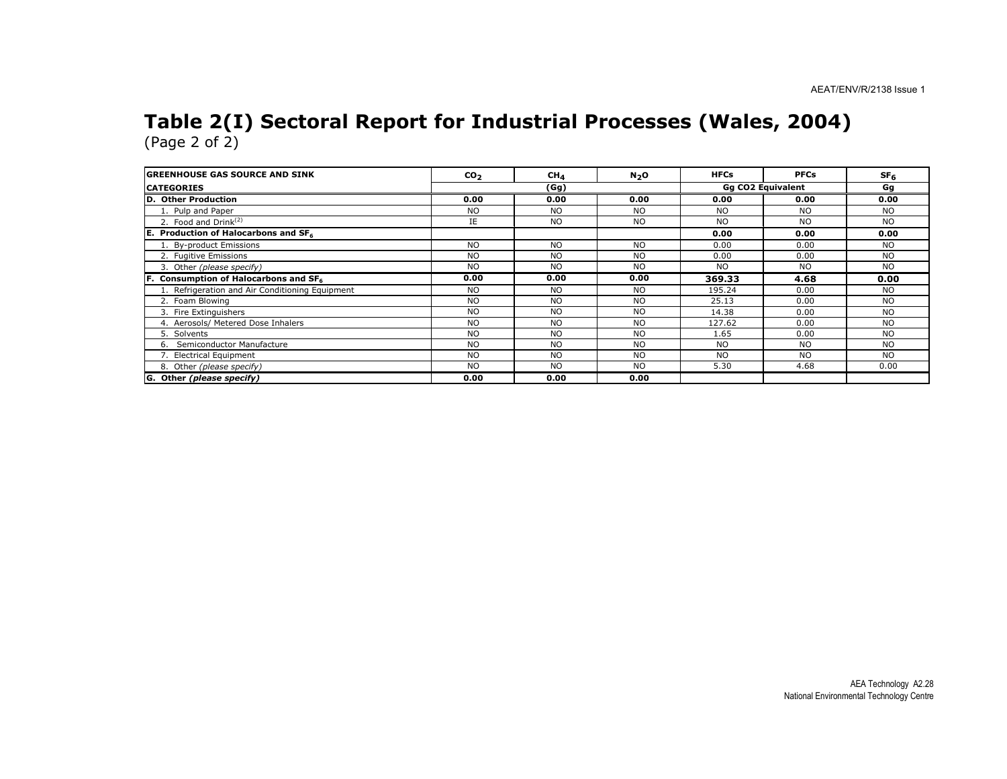# Table 2(I) Sectoral Report for Industrial Processes (Wales, 2004) (Page 2 of 2)

| <b>GREENHOUSE GAS SOURCE AND SINK</b>           | $\mathbf{co}_2$ | CH <sub>4</sub> | N <sub>2</sub> O | <b>HFCs</b> | <b>PFCs</b>              | SF <sub>6</sub> |
|-------------------------------------------------|-----------------|-----------------|------------------|-------------|--------------------------|-----------------|
| <b>CATEGORIES</b>                               |                 | (Gg)            |                  |             | <b>Gg CO2 Equivalent</b> |                 |
| D. Other Production                             | 0.00            | 0.00            | 0.00             | 0.00        | 0.00                     | 0.00            |
| 1. Pulp and Paper                               | <b>NO</b>       | <b>NO</b>       | <b>NO</b>        | NO.         | <b>NO</b>                | NO              |
| 2. Food and Drink $(2)$                         | IE              | <b>NO</b>       | <b>NO</b>        | NO.         | <b>NO</b>                | <b>NO</b>       |
| <b>E.</b> Production of Halocarbons and $SF_6$  |                 |                 |                  | 0.00        | 0.00                     | 0.00            |
| 1. By-product Emissions                         | <b>NO</b>       | <b>NO</b>       | <b>NO</b>        | 0.00        | 0.00                     | NO              |
| 2. Fugitive Emissions                           | <b>NO</b>       | <b>NO</b>       | NO.              | 0.00        | 0.00                     | <b>NO</b>       |
| 3. Other (please specify)                       | <b>NO</b>       | <b>NO</b>       | <b>NO</b>        | NO.         | <b>NO</b>                | <b>NO</b>       |
| F. Consumption of Halocarbons and SF6           | 0.00            | 0.00            | 0.00             | 369.33      | 4.68                     | 0.00            |
| 1. Refrigeration and Air Conditioning Equipment | <b>NO</b>       | <b>NO</b>       | <b>NO</b>        | 195.24      | 0.00                     | <b>NO</b>       |
| 2. Foam Blowing                                 | <b>NO</b>       | <b>NO</b>       | <b>NO</b>        | 25.13       | 0.00                     | NO              |
| 3. Fire Extinguishers                           | <b>NO</b>       | <b>NO</b>       | <b>NO</b>        | 14.38       | 0.00                     | <b>NO</b>       |
| 4. Aerosols/ Metered Dose Inhalers              | <b>NO</b>       | <b>NO</b>       | <b>NO</b>        | 127.62      | 0.00                     | <b>NO</b>       |
| 5. Solvents                                     | <b>NO</b>       | <b>NO</b>       | <b>NO</b>        | 1.65        | 0.00                     | <b>NO</b>       |
| 6. Semiconductor Manufacture                    | <b>NO</b>       | <b>NO</b>       | <b>NO</b>        | <b>NO</b>   | <b>NO</b>                | <b>NO</b>       |
| 7. Electrical Equipment                         | <b>NO</b>       | <b>NO</b>       | <b>NO</b>        | <b>NO</b>   | <b>NO</b>                | <b>NO</b>       |
| 8. Other (please specify)                       | <b>NO</b>       | <b>NO</b>       | <b>NO</b>        | 5.30        | 4.68                     | 0.00            |
| G. Other (please specify)                       | 0.00            | 0.00            | 0.00             |             |                          |                 |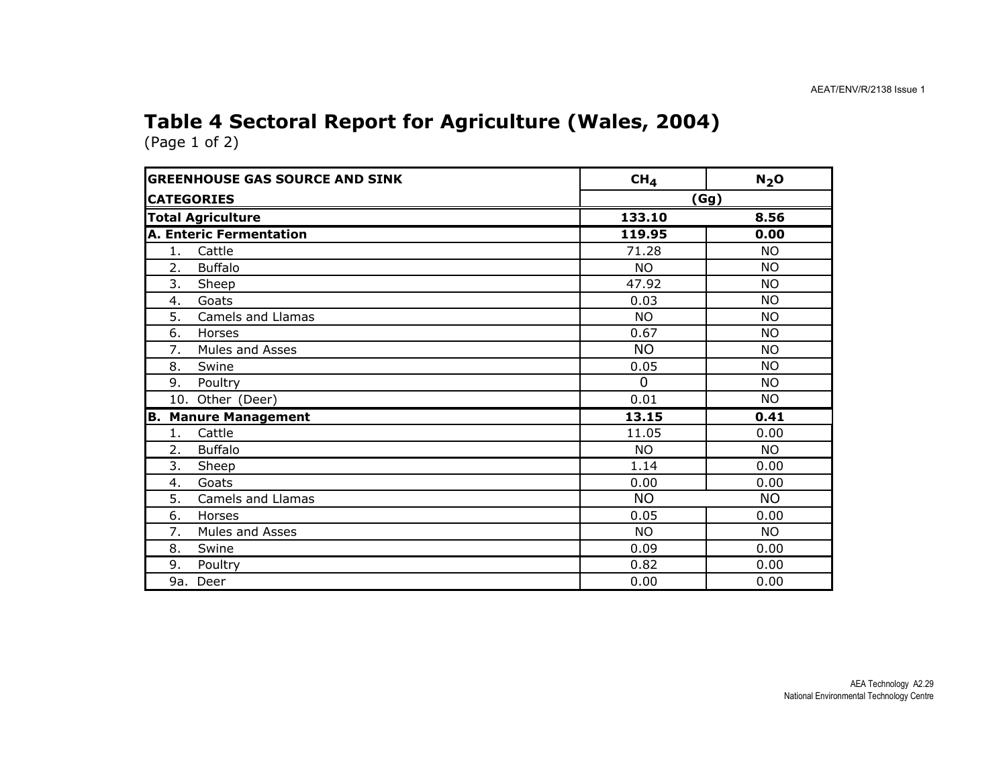### Table 4 Sectoral Report for Agriculture (Wales, 2004)

| <b>GREENHOUSE GAS SOURCE AND SINK</b> | CH <sub>4</sub><br>$N_2$ O |           |
|---------------------------------------|----------------------------|-----------|
| <b>CATEGORIES</b>                     |                            | (Gg)      |
| <b>Total Agriculture</b>              | 133.10                     | 8.56      |
| <b>A. Enteric Fermentation</b>        | 119.95                     | 0.00      |
| 1.<br>Cattle                          | 71.28                      | <b>NO</b> |
| <b>Buffalo</b><br>2.                  | <b>NO</b>                  | <b>NO</b> |
| 3.<br>Sheep                           | 47.92                      | <b>NO</b> |
| Goats<br>4.                           | 0.03                       | <b>NO</b> |
| Camels and Llamas<br>5.               | <b>NO</b>                  | <b>NO</b> |
| 6.<br>Horses                          | 0.67                       | <b>NO</b> |
| 7.<br>Mules and Asses                 | <b>NO</b>                  | <b>NO</b> |
| 8.<br>Swine                           | 0.05                       | <b>NO</b> |
| 9.<br>Poultry                         | $\mathbf{0}$               | <b>NO</b> |
| 10. Other (Deer)                      | 0.01                       | <b>NO</b> |
| <b>Manure Management</b><br>B.        | 13.15                      | 0.41      |
| Cattle<br>1.                          | 11.05                      | 0.00      |
| 2.<br><b>Buffalo</b>                  | <b>NO</b>                  | NO.       |
| 3.<br>Sheep                           | 1.14                       | 0.00      |
| Goats<br>4.                           | 0.00                       | 0.00      |
| 5.<br><b>Camels and Llamas</b>        | <b>NO</b>                  | <b>NO</b> |
| 6.<br>Horses                          | 0.05                       | 0.00      |
| Mules and Asses<br>7.                 | <b>NO</b>                  | <b>NO</b> |
| Swine<br>8.                           | 0.09                       | 0.00      |
| 9.<br>Poultry                         | 0.82                       | 0.00      |
| 9a. Deer                              | 0.00                       | 0.00      |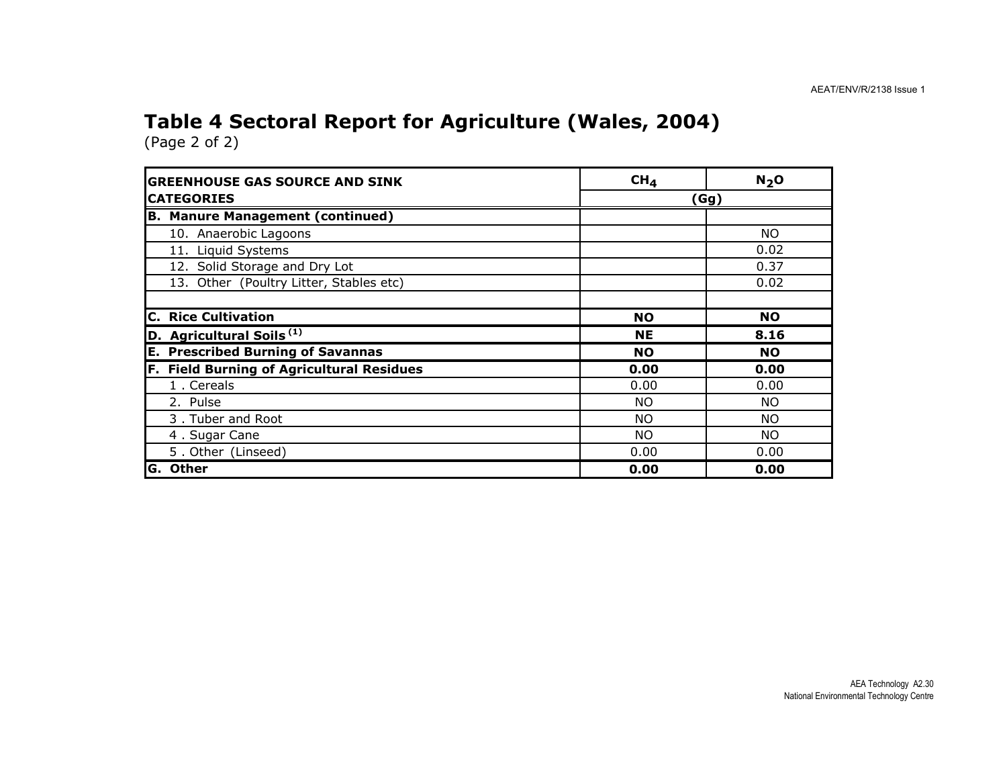## Table 4 Sectoral Report for Agriculture (Wales, 2004)

| <b>GREENHOUSE GAS SOURCE AND SINK</b>               | CH <sub>4</sub> | $N_2$ O   |  |
|-----------------------------------------------------|-----------------|-----------|--|
| <b>CATEGORIES</b>                                   | (Gg)            |           |  |
| <b>B. Manure Management (continued)</b>             |                 |           |  |
| 10. Anaerobic Lagoons                               |                 | <b>NO</b> |  |
| 11. Liquid Systems                                  |                 | 0.02      |  |
| 12. Solid Storage and Dry Lot                       |                 | 0.37      |  |
| 13. Other (Poultry Litter, Stables etc)             |                 | 0.02      |  |
|                                                     |                 |           |  |
| <b>C. Rice Cultivation</b>                          | <b>NO</b>       | <b>NO</b> |  |
| D. Agricultural Soils <sup>(1)</sup>                | <b>NE</b>       | 8.16      |  |
| <b>Prescribed Burning of Savannas</b><br>Е.         | <b>NO</b>       | <b>NO</b> |  |
| <b>Field Burning of Agricultural Residues</b><br>F. | 0.00            | 0.00      |  |
| 1. Cereals                                          | 0.00            | 0.00      |  |
| 2. Pulse                                            | <b>NO</b>       | NO.       |  |
| 3. Tuber and Root                                   | <b>NO</b>       | <b>NO</b> |  |
| 4. Sugar Cane                                       | NO.             | <b>NO</b> |  |
| 5. Other (Linseed)                                  | 0.00            | 0.00      |  |
| G. Other                                            | 0.00            | 0.00      |  |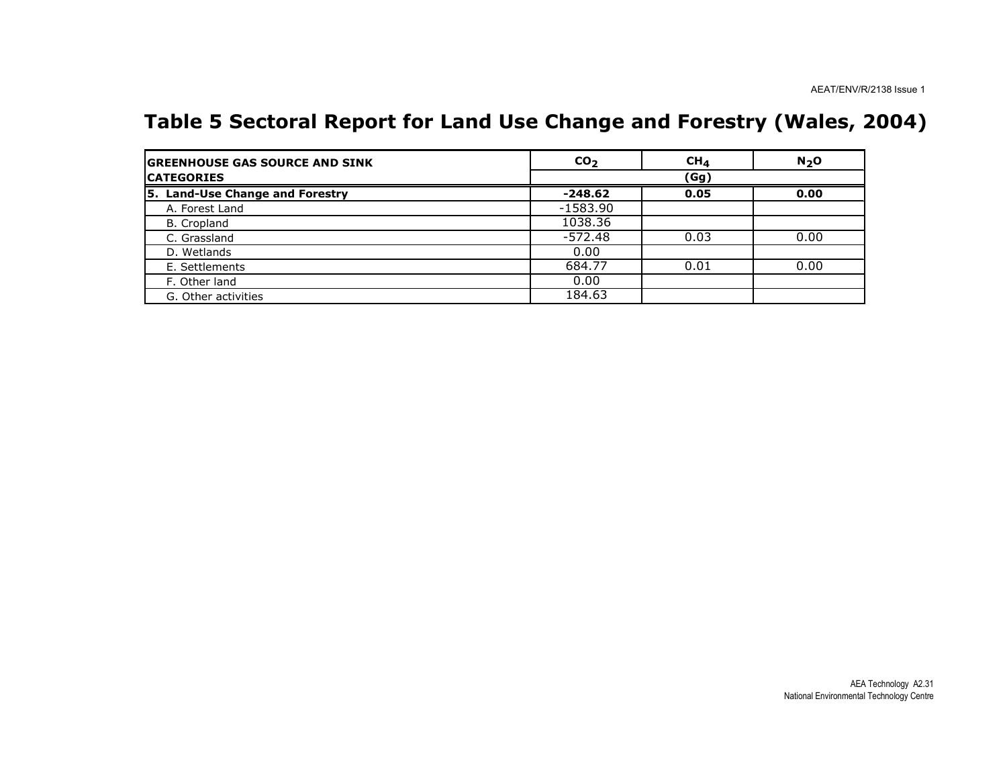### Table 5 Sectoral Report for Land Use Change and Forestry (Wales, 2004)

| <b>GREENHOUSE GAS SOURCE AND SINK</b> | CO <sub>2</sub> | CH <sub>4</sub> | N <sub>2</sub> O |
|---------------------------------------|-----------------|-----------------|------------------|
| <b>CATEGORIES</b>                     | (Gg)            |                 |                  |
| 5. Land-Use Change and Forestry       | $-248.62$       | 0.05            | 0.00             |
| A. Forest Land                        | $-1583.90$      |                 |                  |
| B. Cropland                           | 1038.36         |                 |                  |
| C. Grassland                          | $-572.48$       | 0.03            | 0.00             |
| D. Wetlands                           | 0.00            |                 |                  |
| E. Settlements                        | 684.77          | 0.01            | 0.00             |
| F. Other land                         | 0.00            |                 |                  |
| G. Other activities                   | 184.63          |                 |                  |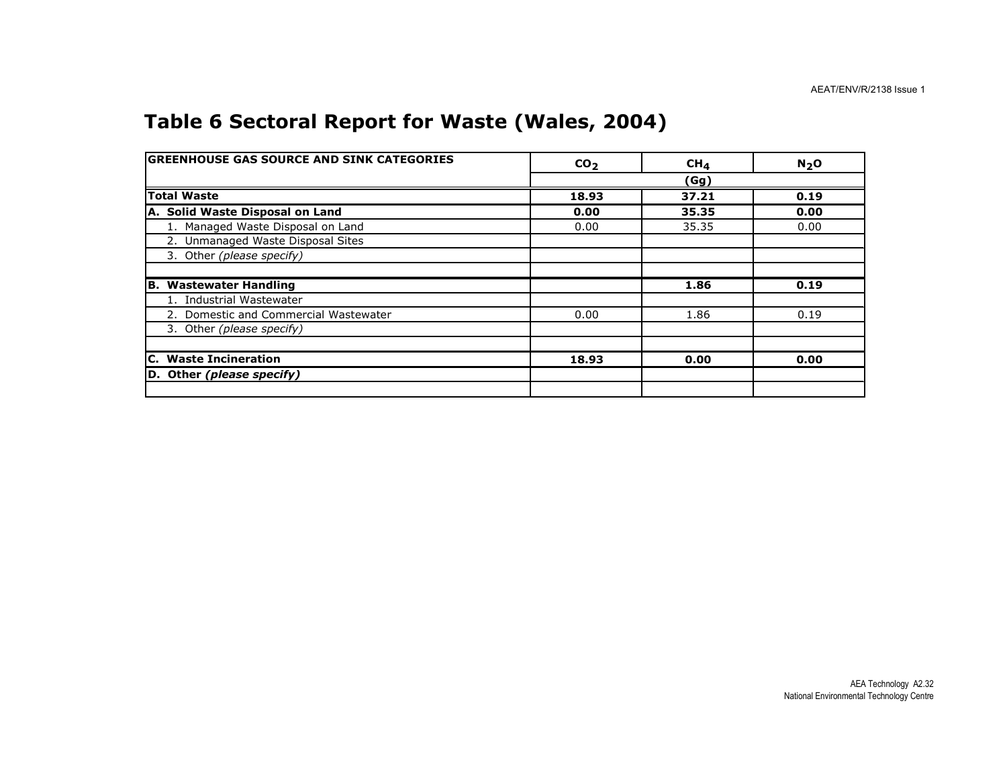### Table 6 Sectoral Report for Waste (Wales, 2004)

| <b>GREENHOUSE GAS SOURCE AND SINK CATEGORIES</b> | CO <sub>2</sub> | CH <sub>4</sub> | N <sub>2</sub> O |
|--------------------------------------------------|-----------------|-----------------|------------------|
|                                                  |                 | (Gg)            |                  |
| <b>Total Waste</b>                               | 18.93           | 37.21           | 0.19             |
| A. Solid Waste Disposal on Land                  | 0.00            | 35.35           | 0.00             |
| 1. Managed Waste Disposal on Land                | 0.00            | 35.35           | 0.00             |
| 2. Unmanaged Waste Disposal Sites                |                 |                 |                  |
| 3. Other (please specify)                        |                 |                 |                  |
|                                                  |                 |                 |                  |
| <b>B. Wastewater Handling</b>                    |                 | 1.86            | 0.19             |
| 1. Industrial Wastewater                         |                 |                 |                  |
| 2. Domestic and Commercial Wastewater            | 0.00            | 1.86            | 0.19             |
| 3. Other (please specify)                        |                 |                 |                  |
|                                                  |                 |                 |                  |
| <b>C.</b> Waste Incineration                     | 18.93           | 0.00            | 0.00             |
| D. Other (please specify)                        |                 |                 |                  |
|                                                  |                 |                 |                  |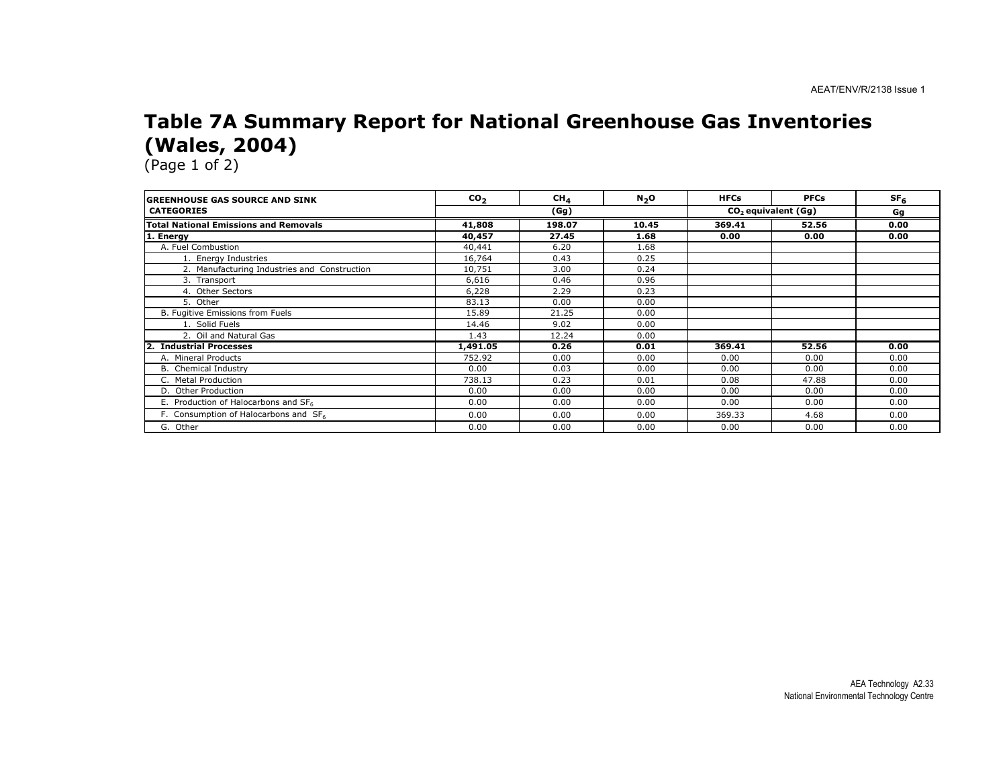### Table 7A Summary Report for National Greenhouse Gas Inventories (Wales, 2004)

(Page 1 of 2)

na.

| <b>IGREENHOUSE GAS SOURCE AND SINK</b>            | CO <sub>2</sub> | CH <sub>4</sub> | N <sub>2</sub> O | <b>HFCs</b> | <b>PFCs</b>                     | SF <sub>6</sub> |
|---------------------------------------------------|-----------------|-----------------|------------------|-------------|---------------------------------|-----------------|
| <b>CATEGORIES</b>                                 |                 | (Gg)            |                  |             | CO <sub>2</sub> equivalent (Gg) |                 |
| <b>Total National Emissions and Removals</b>      | 41,808          | 198.07          | 10.45            | 369.41      | 52.56                           | 0.00            |
| 1. Energy                                         | 40,457          | 27.45           | 1.68             | 0.00        | 0.00                            | 0.00            |
| A. Fuel Combustion                                | 40,441          | 6.20            | 1.68             |             |                                 |                 |
| 1. Energy Industries                              | 16,764          | 0.43            | 0.25             |             |                                 |                 |
| 2. Manufacturing Industries and Construction      | 10,751          | 3.00            | 0.24             |             |                                 |                 |
| 3. Transport                                      | 6,616           | 0.46            | 0.96             |             |                                 |                 |
| 4. Other Sectors                                  | 6,228           | 2.29            | 0.23             |             |                                 |                 |
| 5. Other                                          | 83.13           | 0.00            | 0.00             |             |                                 |                 |
| B. Fugitive Emissions from Fuels                  | 15.89           | 21.25           | 0.00             |             |                                 |                 |
| 1. Solid Fuels                                    | 14.46           | 9.02            | 0.00             |             |                                 |                 |
| 2. Oil and Natural Gas                            | 1.43            | 12.24           | 0.00             |             |                                 |                 |
| 2. Industrial Processes                           | 1,491.05        | 0.26            | 0.01             | 369.41      | 52.56                           | 0.00            |
| A. Mineral Products                               | 752.92          | 0.00            | 0.00             | 0.00        | 0.00                            | 0.00            |
| <b>B.</b> Chemical Industry                       | 0.00            | 0.03            | 0.00             | 0.00        | 0.00                            | 0.00            |
| C. Metal Production                               | 738.13          | 0.23            | 0.01             | 0.08        | 47.88                           | 0.00            |
| D. Other Production                               | 0.00            | 0.00            | 0.00             | 0.00        | 0.00                            | 0.00            |
| E. Production of Halocarbons and SF <sub>6</sub>  | 0.00            | 0.00            | 0.00             | 0.00        | 0.00                            | 0.00            |
| F. Consumption of Halocarbons and SF <sub>6</sub> | 0.00            | 0.00            | 0.00             | 369.33      | 4.68                            | 0.00            |
| G. Other                                          | 0.00            | 0.00            | 0.00             | 0.00        | 0.00                            | 0.00            |